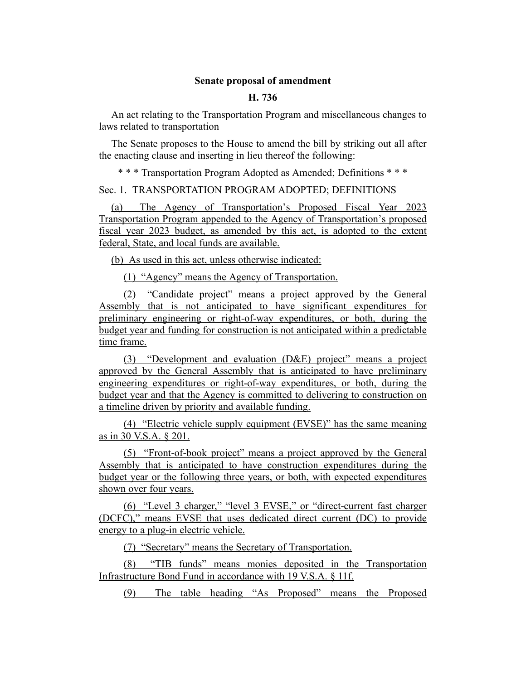## **Senate proposal of amendment**

## **H. 736**

An act relating to the Transportation Program and miscellaneous changes to laws related to transportation

The Senate proposes to the House to amend the bill by striking out all after the enacting clause and inserting in lieu thereof the following:

\* \* \* Transportation Program Adopted as Amended; Definitions \* \* \*

Sec. 1. TRANSPORTATION PROGRAM ADOPTED; DEFINITIONS

(a) The Agency of Transportation's Proposed Fiscal Year 2023 Transportation Program appended to the Agency of Transportation's proposed fiscal year 2023 budget, as amended by this act, is adopted to the extent federal, State, and local funds are available.

(b) As used in this act, unless otherwise indicated:

(1) "Agency" means the Agency of Transportation.

(2) "Candidate project" means a project approved by the General Assembly that is not anticipated to have significant expenditures for preliminary engineering or right-of-way expenditures, or both, during the budget year and funding for construction is not anticipated within a predictable time frame.

(3) "Development and evaluation (D&E) project" means a project approved by the General Assembly that is anticipated to have preliminary engineering expenditures or right-of-way expenditures, or both, during the budget year and that the Agency is committed to delivering to construction on a timeline driven by priority and available funding.

(4) "Electric vehicle supply equipment (EVSE)" has the same meaning as in 30 V.S.A. § 201.

(5) "Front-of-book project" means a project approved by the General Assembly that is anticipated to have construction expenditures during the budget year or the following three years, or both, with expected expenditures shown over four years.

(6) "Level 3 charger," "level 3 EVSE," or "direct-current fast charger (DCFC)," means EVSE that uses dedicated direct current (DC) to provide energy to a plug-in electric vehicle.

(7) "Secretary" means the Secretary of Transportation.

(8) "TIB funds" means monies deposited in the Transportation Infrastructure Bond Fund in accordance with 19 V.S.A. § 11f.

(9) The table heading "As Proposed" means the Proposed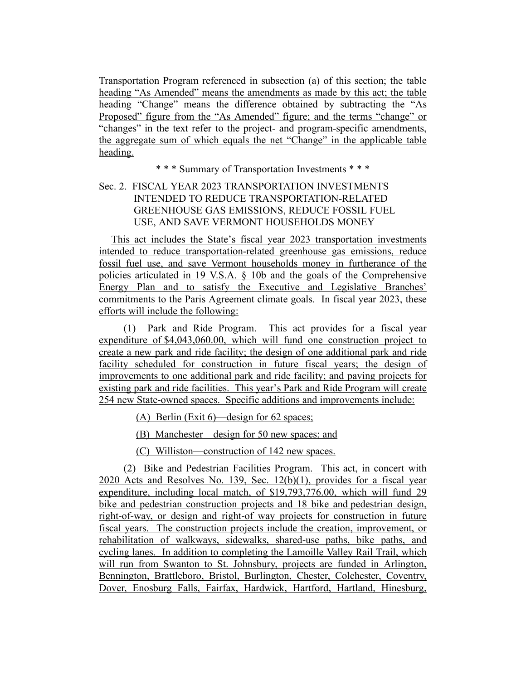Transportation Program referenced in subsection (a) of this section; the table heading "As Amended" means the amendments as made by this act; the table heading "Change" means the difference obtained by subtracting the "As Proposed" figure from the "As Amended" figure; and the terms "change" or "changes" in the text refer to the project- and program-specific amendments, the aggregate sum of which equals the net "Change" in the applicable table heading.

\* \* \* Summary of Transportation Investments \* \* \*

# Sec. 2. FISCAL YEAR 2023 TRANSPORTATION INVESTMENTS INTENDED TO REDUCE TRANSPORTATION-RELATED GREENHOUSE GAS EMISSIONS, REDUCE FOSSIL FUEL USE, AND SAVE VERMONT HOUSEHOLDS MONEY

This act includes the State's fiscal year 2023 transportation investments intended to reduce transportation-related greenhouse gas emissions, reduce fossil fuel use, and save Vermont households money in furtherance of the policies articulated in 19 V.S.A. § 10b and the goals of the Comprehensive Energy Plan and to satisfy the Executive and Legislative Branches' commitments to the Paris Agreement climate goals. In fiscal year 2023, these efforts will include the following:

(1) Park and Ride Program. This act provides for a fiscal year expenditure of \$4,043,060.00, which will fund one construction project to create a new park and ride facility; the design of one additional park and ride facility scheduled for construction in future fiscal years; the design of improvements to one additional park and ride facility; and paving projects for existing park and ride facilities. This year's Park and Ride Program will create 254 new State-owned spaces. Specific additions and improvements include:

(A) Berlin (Exit 6)—design for 62 spaces;

(B) Manchester—design for 50 new spaces; and

(C) Williston—construction of 142 new spaces.

(2) Bike and Pedestrian Facilities Program. This act, in concert with 2020 Acts and Resolves No. 139, Sec. 12(b)(1), provides for a fiscal year expenditure, including local match, of \$19,793,776.00, which will fund 29 bike and pedestrian construction projects and 18 bike and pedestrian design, right-of-way, or design and right-of way projects for construction in future fiscal years. The construction projects include the creation, improvement, or rehabilitation of walkways, sidewalks, shared-use paths, bike paths, and cycling lanes. In addition to completing the Lamoille Valley Rail Trail, which will run from Swanton to St. Johnsbury, projects are funded in Arlington, Bennington, Brattleboro, Bristol, Burlington, Chester, Colchester, Coventry, Dover, Enosburg Falls, Fairfax, Hardwick, Hartford, Hartland, Hinesburg,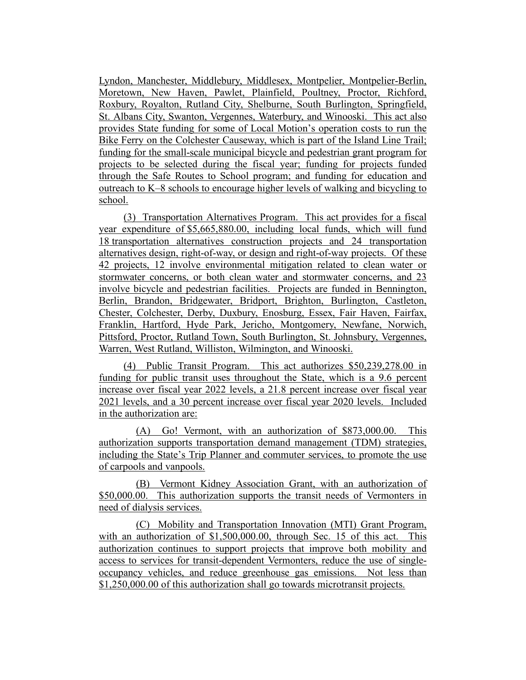Lyndon, Manchester, Middlebury, Middlesex, Montpelier, Montpelier-Berlin, Moretown, New Haven, Pawlet, Plainfield, Poultney, Proctor, Richford, Roxbury, Royalton, Rutland City, Shelburne, South Burlington, Springfield, St. Albans City, Swanton, Vergennes, Waterbury, and Winooski. This act also provides State funding for some of Local Motion's operation costs to run the Bike Ferry on the Colchester Causeway, which is part of the Island Line Trail; funding for the small-scale municipal bicycle and pedestrian grant program for projects to be selected during the fiscal year; funding for projects funded through the Safe Routes to School program; and funding for education and outreach to K–8 schools to encourage higher levels of walking and bicycling to school.

(3) Transportation Alternatives Program. This act provides for a fiscal year expenditure of \$5,665,880.00, including local funds, which will fund 18 transportation alternatives construction projects and 24 transportation alternatives design, right-of-way, or design and right-of-way projects. Of these 42 projects, 12 involve environmental mitigation related to clean water or stormwater concerns, or both clean water and stormwater concerns, and 23 involve bicycle and pedestrian facilities. Projects are funded in Bennington, Berlin, Brandon, Bridgewater, Bridport, Brighton, Burlington, Castleton, Chester, Colchester, Derby, Duxbury, Enosburg, Essex, Fair Haven, Fairfax, Franklin, Hartford, Hyde Park, Jericho, Montgomery, Newfane, Norwich, Pittsford, Proctor, Rutland Town, South Burlington, St. Johnsbury, Vergennes, Warren, West Rutland, Williston, Wilmington, and Winooski.

(4) Public Transit Program. This act authorizes \$50,239,278.00 in funding for public transit uses throughout the State, which is a 9.6 percent increase over fiscal year 2022 levels, a 21.8 percent increase over fiscal year 2021 levels, and a 30 percent increase over fiscal year 2020 levels. Included in the authorization are:

(A) Go! Vermont, with an authorization of \$873,000.00. This authorization supports transportation demand management (TDM) strategies, including the State's Trip Planner and commuter services, to promote the use of carpools and vanpools.

(B) Vermont Kidney Association Grant, with an authorization of \$50,000.00. This authorization supports the transit needs of Vermonters in need of dialysis services.

(C) Mobility and Transportation Innovation (MTI) Grant Program, with an authorization of \$1,500,000.00, through Sec. 15 of this act. This authorization continues to support projects that improve both mobility and access to services for transit-dependent Vermonters, reduce the use of singleoccupancy vehicles, and reduce greenhouse gas emissions. Not less than \$1,250,000.00 of this authorization shall go towards microtransit projects.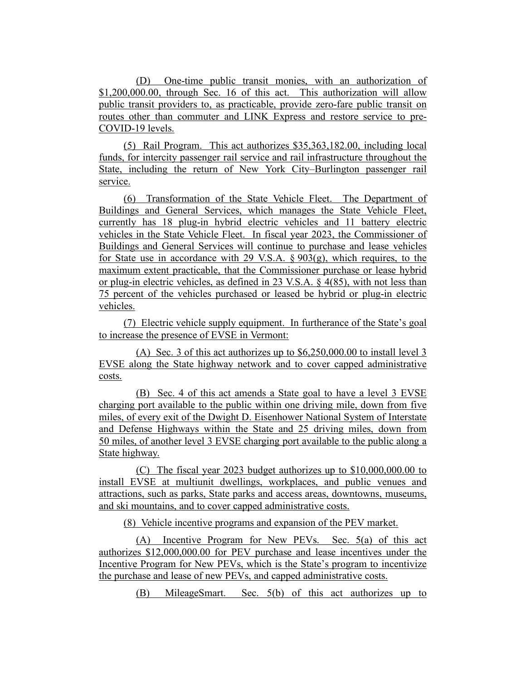(D) One-time public transit monies, with an authorization of \$1,200,000.00, through Sec. 16 of this act. This authorization will allow public transit providers to, as practicable, provide zero-fare public transit on routes other than commuter and LINK Express and restore service to pre-COVID-19 levels.

(5) Rail Program. This act authorizes \$35,363,182.00, including local funds, for intercity passenger rail service and rail infrastructure throughout the State, including the return of New York City–Burlington passenger rail service.

(6) Transformation of the State Vehicle Fleet. The Department of Buildings and General Services, which manages the State Vehicle Fleet, currently has 18 plug-in hybrid electric vehicles and 11 battery electric vehicles in the State Vehicle Fleet. In fiscal year 2023, the Commissioner of Buildings and General Services will continue to purchase and lease vehicles for State use in accordance with 29 V.S.A.  $\S 903(g)$ , which requires, to the maximum extent practicable, that the Commissioner purchase or lease hybrid or plug-in electric vehicles, as defined in 23 V.S.A. § 4(85), with not less than 75 percent of the vehicles purchased or leased be hybrid or plug-in electric vehicles.

(7) Electric vehicle supply equipment. In furtherance of the State's goal to increase the presence of EVSE in Vermont:

(A) Sec. 3 of this act authorizes up to \$6,250,000.00 to install level 3 EVSE along the State highway network and to cover capped administrative costs.

(B) Sec. 4 of this act amends a State goal to have a level 3 EVSE charging port available to the public within one driving mile, down from five miles, of every exit of the Dwight D. Eisenhower National System of Interstate and Defense Highways within the State and 25 driving miles, down from 50 miles, of another level 3 EVSE charging port available to the public along a State highway.

(C) The fiscal year 2023 budget authorizes up to \$10,000,000.00 to install EVSE at multiunit dwellings, workplaces, and public venues and attractions, such as parks, State parks and access areas, downtowns, museums, and ski mountains, and to cover capped administrative costs.

(8) Vehicle incentive programs and expansion of the PEV market.

(A) Incentive Program for New PEVs. Sec. 5(a) of this act authorizes \$12,000,000.00 for PEV purchase and lease incentives under the Incentive Program for New PEVs, which is the State's program to incentivize the purchase and lease of new PEVs, and capped administrative costs.

(B) MileageSmart. Sec. 5(b) of this act authorizes up to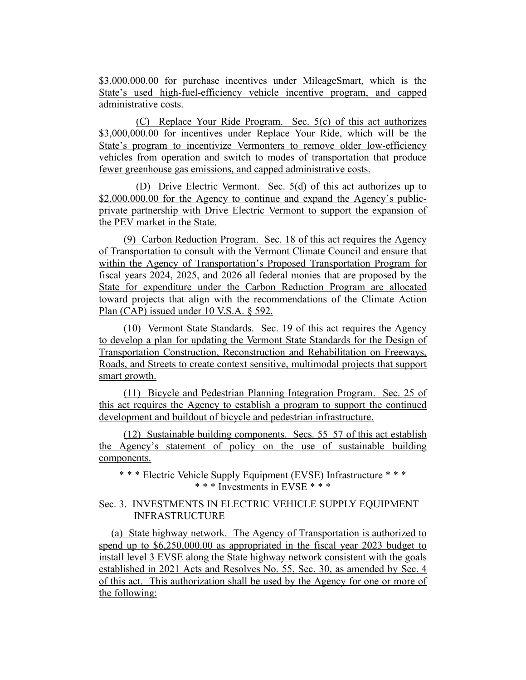\$3,000,000.00 for purchase incentives under MileageSmart, which is the State's used high-fuel-efficiency vehicle incentive program, and capped administrative costs.

(C) Replace Your Ride Program. Sec. 5(c) of this act authorizes \$3,000,000.00 for incentives under Replace Your Ride, which will be the State's program to incentivize Vermonters to remove older low-efficiency vehicles from operation and switch to modes of transportation that produce fewer greenhouse gas emissions, and capped administrative costs.

(D) Drive Electric Vermont. Sec. 5(d) of this act authorizes up to \$2,000,000.00 for the Agency to continue and expand the Agency's publicprivate partnership with Drive Electric Vermont to support the expansion of the PEV market in the State.

(9) Carbon Reduction Program. Sec. 18 of this act requires the Agency of Transportation to consult with the Vermont Climate Council and ensure that within the Agency of Transportation's Proposed Transportation Program for fiscal years 2024, 2025, and 2026 all federal monies that are proposed by the State for expenditure under the Carbon Reduction Program are allocated toward projects that align with the recommendations of the Climate Action Plan (CAP) issued under 10 V.S.A. § 592.

(10) Vermont State Standards. Sec. 19 of this act requires the Agency to develop a plan for updating the Vermont State Standards for the Design of Transportation Construction, Reconstruction and Rehabilitation on Freeways, Roads, and Streets to create context sensitive, multimodal projects that support smart growth.

(11) Bicycle and Pedestrian Planning Integration Program. Sec. 25 of this act requires the Agency to establish a program to support the continued development and buildout of bicycle and pedestrian infrastructure.

(12) Sustainable building components. Secs. 55–57 of this act establish the Agency's statement of policy on the use of sustainable building components.

\* \* \* Electric Vehicle Supply Equipment (EVSE) Infrastructure \* \* \* \* \* \* Investments in EVSE \* \* \*

# Sec. 3. INVESTMENTS IN ELECTRIC VEHICLE SUPPLY EQUIPMENT INFRASTRUCTURE

(a) State highway network. The Agency of Transportation is authorized to spend up to \$6,250,000.00 as appropriated in the fiscal year 2023 budget to install level 3 EVSE along the State highway network consistent with the goals established in 2021 Acts and Resolves No. 55, Sec. 30, as amended by Sec. 4 of this act. This authorization shall be used by the Agency for one or more of the following: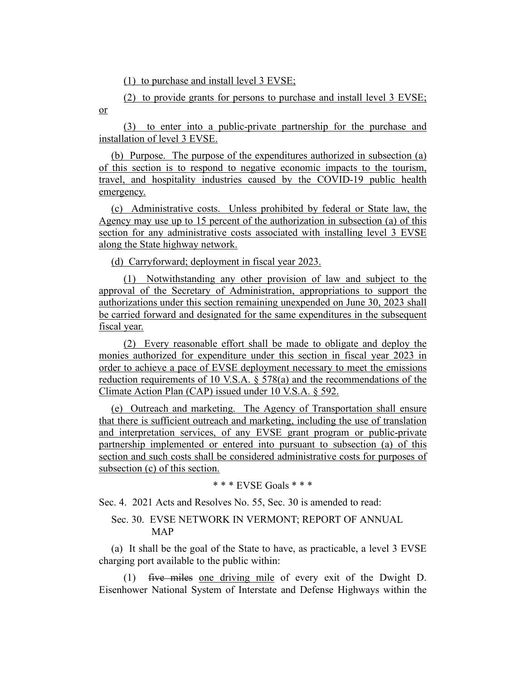(1) to purchase and install level 3 EVSE;

(2) to provide grants for persons to purchase and install level 3 EVSE; or

(3) to enter into a public-private partnership for the purchase and installation of level 3 EVSE.

(b) Purpose. The purpose of the expenditures authorized in subsection (a) of this section is to respond to negative economic impacts to the tourism, travel, and hospitality industries caused by the COVID-19 public health emergency.

(c) Administrative costs. Unless prohibited by federal or State law, the Agency may use up to 15 percent of the authorization in subsection (a) of this section for any administrative costs associated with installing level 3 EVSE along the State highway network.

(d) Carryforward; deployment in fiscal year 2023.

(1) Notwithstanding any other provision of law and subject to the approval of the Secretary of Administration, appropriations to support the authorizations under this section remaining unexpended on June 30, 2023 shall be carried forward and designated for the same expenditures in the subsequent fiscal year.

(2) Every reasonable effort shall be made to obligate and deploy the monies authorized for expenditure under this section in fiscal year 2023 in order to achieve a pace of EVSE deployment necessary to meet the emissions reduction requirements of 10 V.S.A. § 578(a) and the recommendations of the Climate Action Plan (CAP) issued under 10 V.S.A. § 592.

(e) Outreach and marketing. The Agency of Transportation shall ensure that there is sufficient outreach and marketing, including the use of translation and interpretation services, of any EVSE grant program or public-private partnership implemented or entered into pursuant to subsection (a) of this section and such costs shall be considered administrative costs for purposes of subsection (c) of this section.

```
* * * EVSE Goals * * *
```
Sec. 4. 2021 Acts and Resolves No. 55, Sec. 30 is amended to read:

# Sec. 30. EVSE NETWORK IN VERMONT; REPORT OF ANNUAL MAP

(a) It shall be the goal of the State to have, as practicable, a level 3 EVSE charging port available to the public within:

(1) five miles one driving mile of every exit of the Dwight D. Eisenhower National System of Interstate and Defense Highways within the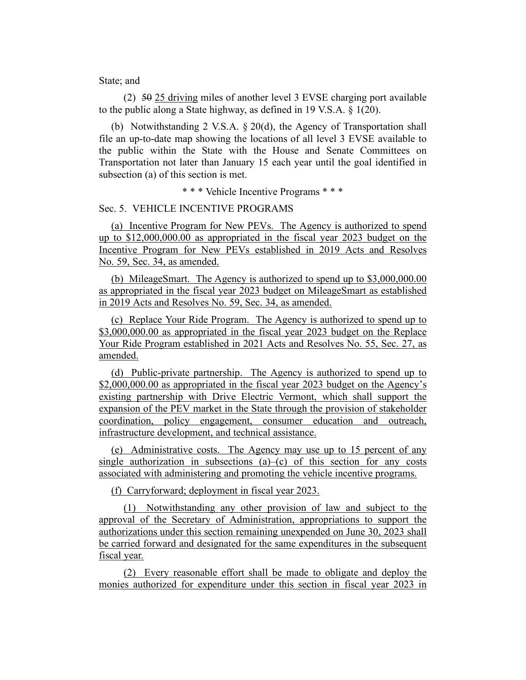State; and

 $(2)$  50 25 driving miles of another level 3 EVSE charging port available to the public along a State highway, as defined in 19 V.S.A. § 1(20).

(b) Notwithstanding 2 V.S.A. § 20(d), the Agency of Transportation shall file an up-to-date map showing the locations of all level 3 EVSE available to the public within the State with the House and Senate Committees on Transportation not later than January 15 each year until the goal identified in subsection (a) of this section is met.

\* \* \* Vehicle Incentive Programs \* \* \*

#### Sec. 5. VEHICLE INCENTIVE PROGRAMS

(a) Incentive Program for New PEVs. The Agency is authorized to spend up to \$12,000,000.00 as appropriated in the fiscal year 2023 budget on the Incentive Program for New PEVs established in 2019 Acts and Resolves No. 59, Sec. 34, as amended.

(b) MileageSmart. The Agency is authorized to spend up to \$3,000,000.00 as appropriated in the fiscal year 2023 budget on MileageSmart as established in 2019 Acts and Resolves No. 59, Sec. 34, as amended.

(c) Replace Your Ride Program. The Agency is authorized to spend up to \$3,000,000.00 as appropriated in the fiscal year 2023 budget on the Replace Your Ride Program established in 2021 Acts and Resolves No. 55, Sec. 27, as amended.

(d) Public-private partnership. The Agency is authorized to spend up to \$2,000,000.00 as appropriated in the fiscal year 2023 budget on the Agency's existing partnership with Drive Electric Vermont, which shall support the expansion of the PEV market in the State through the provision of stakeholder coordination, policy engagement, consumer education and outreach, infrastructure development, and technical assistance.

(e) Administrative costs. The Agency may use up to 15 percent of any single authorization in subsections  $(a)$ – $(c)$  of this section for any costs associated with administering and promoting the vehicle incentive programs.

(f) Carryforward; deployment in fiscal year 2023.

(1) Notwithstanding any other provision of law and subject to the approval of the Secretary of Administration, appropriations to support the authorizations under this section remaining unexpended on June 30, 2023 shall be carried forward and designated for the same expenditures in the subsequent fiscal year.

(2) Every reasonable effort shall be made to obligate and deploy the monies authorized for expenditure under this section in fiscal year 2023 in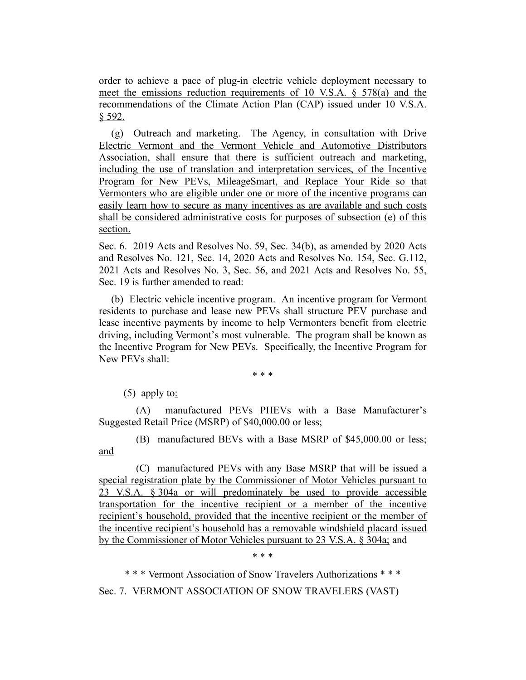order to achieve a pace of plug-in electric vehicle deployment necessary to meet the emissions reduction requirements of 10 V.S.A. § 578(a) and the recommendations of the Climate Action Plan (CAP) issued under 10 V.S.A. § 592.

(g) Outreach and marketing. The Agency, in consultation with Drive Electric Vermont and the Vermont Vehicle and Automotive Distributors Association, shall ensure that there is sufficient outreach and marketing, including the use of translation and interpretation services, of the Incentive Program for New PEVs, MileageSmart, and Replace Your Ride so that Vermonters who are eligible under one or more of the incentive programs can easily learn how to secure as many incentives as are available and such costs shall be considered administrative costs for purposes of subsection (e) of this section.

Sec. 6. 2019 Acts and Resolves No. 59, Sec. 34(b), as amended by 2020 Acts and Resolves No. 121, Sec. 14, 2020 Acts and Resolves No. 154, Sec. G.112, 2021 Acts and Resolves No. 3, Sec. 56, and 2021 Acts and Resolves No. 55, Sec. 19 is further amended to read:

(b) Electric vehicle incentive program. An incentive program for Vermont residents to purchase and lease new PEVs shall structure PEV purchase and lease incentive payments by income to help Vermonters benefit from electric driving, including Vermont's most vulnerable. The program shall be known as the Incentive Program for New PEVs. Specifically, the Incentive Program for New PEVs shall:

\* \* \*

(5) apply to:

(A) manufactured PEVs PHEVs with a Base Manufacturer's Suggested Retail Price (MSRP) of \$40,000.00 or less;

(B) manufactured BEVs with a Base MSRP of \$45,000.00 or less; and

(C) manufactured PEVs with any Base MSRP that will be issued a special registration plate by the Commissioner of Motor Vehicles pursuant to 23 V.S.A. § 304a or will predominately be used to provide accessible transportation for the incentive recipient or a member of the incentive recipient's household, provided that the incentive recipient or the member of the incentive recipient's household has a removable windshield placard issued by the Commissioner of Motor Vehicles pursuant to 23 V.S.A. § 304a; and

\* \* \*

\* \* \* Vermont Association of Snow Travelers Authorizations \* \* \*

Sec. 7. VERMONT ASSOCIATION OF SNOW TRAVELERS (VAST)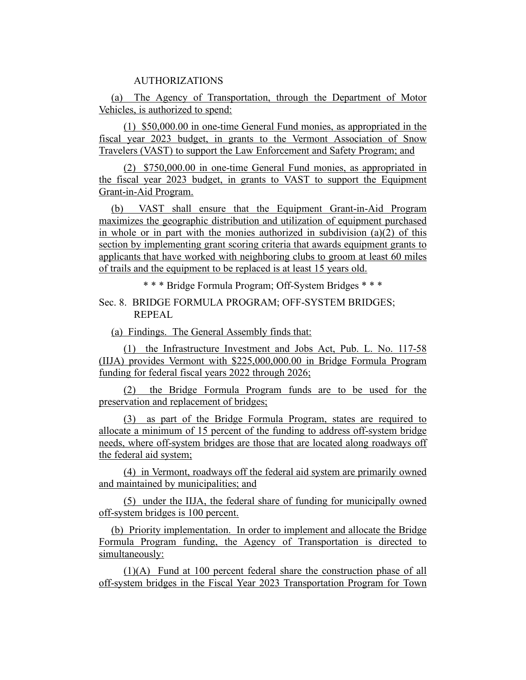## AUTHORIZATIONS

(a) The Agency of Transportation, through the Department of Motor Vehicles, is authorized to spend:

(1) \$50,000.00 in one-time General Fund monies, as appropriated in the fiscal year 2023 budget, in grants to the Vermont Association of Snow Travelers (VAST) to support the Law Enforcement and Safety Program; and

(2) \$750,000.00 in one-time General Fund monies, as appropriated in the fiscal year 2023 budget, in grants to VAST to support the Equipment Grant-in-Aid Program.

(b) VAST shall ensure that the Equipment Grant-in-Aid Program maximizes the geographic distribution and utilization of equipment purchased in whole or in part with the monies authorized in subdivision  $(a)(2)$  of this section by implementing grant scoring criteria that awards equipment grants to applicants that have worked with neighboring clubs to groom at least 60 miles of trails and the equipment to be replaced is at least 15 years old.

\* \* \* Bridge Formula Program; Off-System Bridges \* \* \*

Sec. 8. BRIDGE FORMULA PROGRAM; OFF-SYSTEM BRIDGES; REPEAL

(a) Findings. The General Assembly finds that:

(1) the Infrastructure Investment and Jobs Act, Pub. L. No. 117-58 (IIJA) provides Vermont with \$225,000,000.00 in Bridge Formula Program funding for federal fiscal years 2022 through 2026;

(2) the Bridge Formula Program funds are to be used for the preservation and replacement of bridges;

(3) as part of the Bridge Formula Program, states are required to allocate a minimum of 15 percent of the funding to address off-system bridge needs, where off-system bridges are those that are located along roadways off the federal aid system;

(4) in Vermont, roadways off the federal aid system are primarily owned and maintained by municipalities; and

(5) under the IIJA, the federal share of funding for municipally owned off-system bridges is 100 percent.

(b) Priority implementation. In order to implement and allocate the Bridge Formula Program funding, the Agency of Transportation is directed to simultaneously:

(1)(A) Fund at 100 percent federal share the construction phase of all off-system bridges in the Fiscal Year 2023 Transportation Program for Town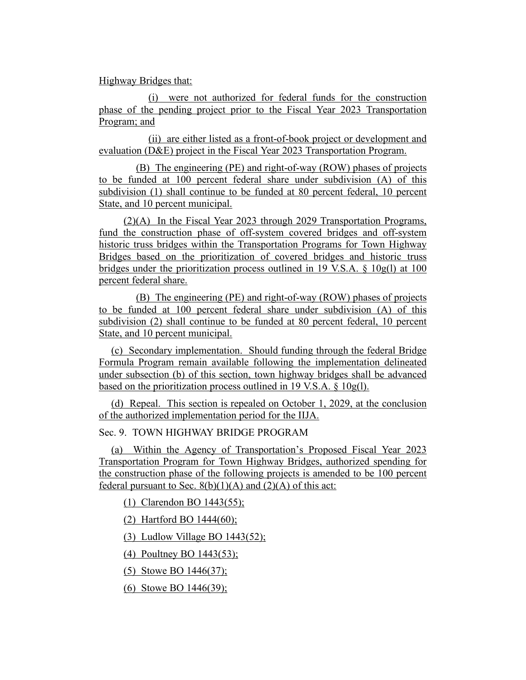Highway Bridges that:

(i) were not authorized for federal funds for the construction phase of the pending project prior to the Fiscal Year 2023 Transportation Program; and

(ii) are either listed as a front-of-book project or development and evaluation (D&E) project in the Fiscal Year 2023 Transportation Program.

(B) The engineering (PE) and right-of-way (ROW) phases of projects to be funded at 100 percent federal share under subdivision (A) of this subdivision (1) shall continue to be funded at 80 percent federal, 10 percent State, and 10 percent municipal.

(2)(A) In the Fiscal Year 2023 through 2029 Transportation Programs, fund the construction phase of off-system covered bridges and off-system historic truss bridges within the Transportation Programs for Town Highway Bridges based on the prioritization of covered bridges and historic truss bridges under the prioritization process outlined in 19 V.S.A. § 10g(l) at 100 percent federal share.

(B) The engineering (PE) and right-of-way (ROW) phases of projects to be funded at 100 percent federal share under subdivision (A) of this subdivision (2) shall continue to be funded at 80 percent federal, 10 percent State, and 10 percent municipal.

(c) Secondary implementation. Should funding through the federal Bridge Formula Program remain available following the implementation delineated under subsection (b) of this section, town highway bridges shall be advanced based on the prioritization process outlined in 19 V.S.A. § 10g(l).

(d) Repeal. This section is repealed on October 1, 2029, at the conclusion of the authorized implementation period for the IIJA.

Sec. 9. TOWN HIGHWAY BRIDGE PROGRAM

(a) Within the Agency of Transportation's Proposed Fiscal Year 2023 Transportation Program for Town Highway Bridges, authorized spending for the construction phase of the following projects is amended to be 100 percent federal pursuant to Sec.  $8(b)(1)(A)$  and  $(2)(A)$  of this act:

(1) Clarendon BO 1443(55);

(2) Hartford BO 1444(60);

(3) Ludlow Village BO 1443(52);

(4) Poultney BO 1443(53);

(5) Stowe BO 1446(37);

(6) Stowe BO 1446(39);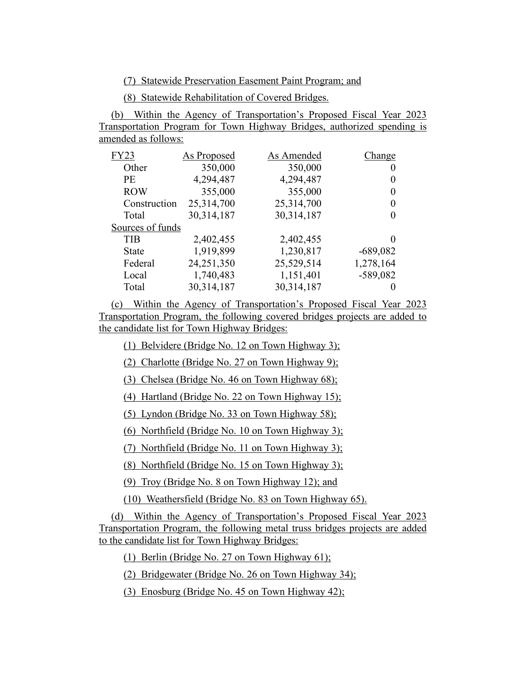(7) Statewide Preservation Easement Paint Program; and

(8) Statewide Rehabilitation of Covered Bridges.

(b) Within the Agency of Transportation's Proposed Fiscal Year 2023 Transportation Program for Town Highway Bridges, authorized spending is amended as follows:

| <b>FY23</b>      | As Proposed | As Amended | Change     |
|------------------|-------------|------------|------------|
| Other            | 350,000     | 350,000    | O          |
| <b>PF</b>        | 4,294,487   | 4,294,487  |            |
| <b>ROW</b>       | 355,000     | 355,000    | $_{0}$     |
| Construction     | 25,314,700  | 25,314,700 |            |
| Total            | 30,314,187  | 30,314,187 |            |
| Sources of funds |             |            |            |
| TIB              | 2,402,455   | 2,402,455  |            |
| State            | 1,919,899   | 1,230,817  | $-689,082$ |
| Federal          | 24,251,350  | 25,529,514 | 1,278,164  |
| Local            | 1,740,483   | 1,151,401  | $-589,082$ |
| Total            | 30,314,187  | 30,314,187 |            |

(c) Within the Agency of Transportation's Proposed Fiscal Year 2023 Transportation Program, the following covered bridges projects are added to the candidate list for Town Highway Bridges:

(1) Belvidere (Bridge No. 12 on Town Highway 3);

(2) Charlotte (Bridge No. 27 on Town Highway 9);

(3) Chelsea (Bridge No. 46 on Town Highway 68);

(4) Hartland (Bridge No. 22 on Town Highway 15);

(5) Lyndon (Bridge No. 33 on Town Highway 58);

(6) Northfield (Bridge No. 10 on Town Highway 3);

(7) Northfield (Bridge No. 11 on Town Highway 3);

(8) Northfield (Bridge No. 15 on Town Highway 3);

(9) Troy (Bridge No. 8 on Town Highway 12); and

(10) Weathersfield (Bridge No. 83 on Town Highway 65).

(d) Within the Agency of Transportation's Proposed Fiscal Year 2023 Transportation Program, the following metal truss bridges projects are added to the candidate list for Town Highway Bridges:

(1) Berlin (Bridge No. 27 on Town Highway 61);

(2) Bridgewater (Bridge No. 26 on Town Highway 34);

(3) Enosburg (Bridge No. 45 on Town Highway 42);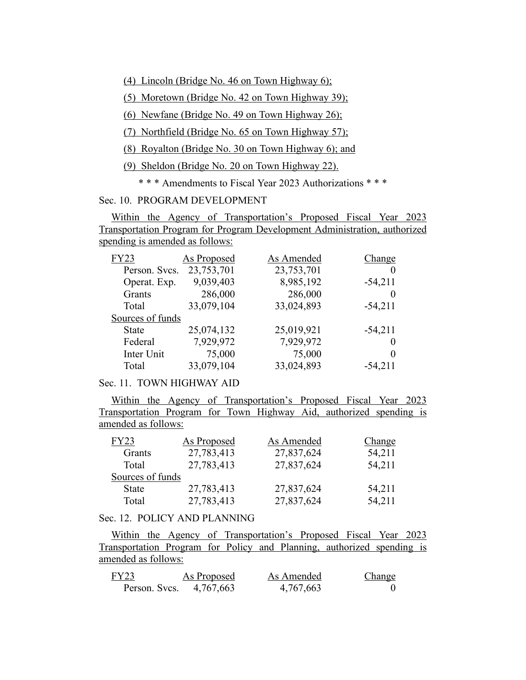(4) Lincoln (Bridge No. 46 on Town Highway 6);

(5) Moretown (Bridge No. 42 on Town Highway 39);

(6) Newfane (Bridge No. 49 on Town Highway 26);

(7) Northfield (Bridge No. 65 on Town Highway 57);

(8) Royalton (Bridge No. 30 on Town Highway 6); and

(9) Sheldon (Bridge No. 20 on Town Highway 22).

\* \* \* Amendments to Fiscal Year 2023 Authorizations \* \* \*

Sec. 10. PROGRAM DEVELOPMENT

Within the Agency of Transportation's Proposed Fiscal Year 2023 Transportation Program for Program Development Administration, authorized spending is amended as follows:

| <b>FY23</b>      | As Proposed | As Amended | Change    |
|------------------|-------------|------------|-----------|
| Person. Svcs.    | 23,753,701  | 23,753,701 | $\theta$  |
| Operat. Exp.     | 9,039,403   | 8,985,192  | $-54,211$ |
| Grants           | 286,000     | 286,000    | $\theta$  |
| Total            | 33,079,104  | 33,024,893 | $-54,211$ |
| Sources of funds |             |            |           |
| <b>State</b>     | 25,074,132  | 25,019,921 | $-54,211$ |
| Federal          | 7,929,972   | 7,929,972  | $\theta$  |
| Inter Unit       | 75,000      | 75,000     | 0         |
| Total            | 33,079,104  | 33,024,893 | $-54,211$ |

## Sec. 11. TOWN HIGHWAY AID

Within the Agency of Transportation's Proposed Fiscal Year 2023 Transportation Program for Town Highway Aid, authorized spending is amended as follows:

| FY23             | As Proposed | As Amended | Change |
|------------------|-------------|------------|--------|
| Grants           | 27,783,413  | 27,837,624 | 54,211 |
| Total            | 27,783,413  | 27,837,624 | 54,211 |
| Sources of funds |             |            |        |
| <b>State</b>     | 27,783,413  | 27,837,624 | 54,211 |
| Total            | 27,783,413  | 27,837,624 | 54,211 |

## Sec. 12. POLICY AND PLANNING

Within the Agency of Transportation's Proposed Fiscal Year 2023 Transportation Program for Policy and Planning, authorized spending is amended as follows:

| FY23          | As Proposed | As Amended | <b>Change</b> |
|---------------|-------------|------------|---------------|
| Person. Svcs. | 4,767,663   | 4,767,663  |               |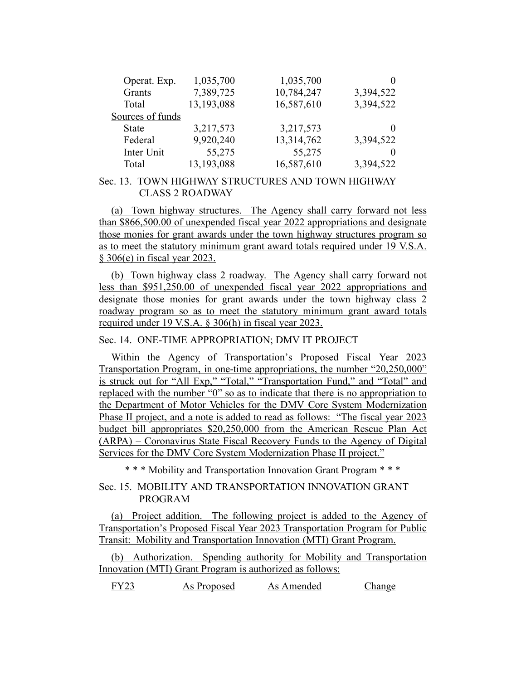| Operat. Exp.     | 1,035,700  | 1,035,700  | $\theta$          |
|------------------|------------|------------|-------------------|
| Grants           | 7,389,725  | 10,784,247 | 3,394,522         |
| Total            | 13,193,088 | 16,587,610 | 3,394,522         |
| Sources of funds |            |            |                   |
| <b>State</b>     | 3,217,573  | 3,217,573  | $\mathbf{\Omega}$ |
| Federal          | 9,920,240  | 13,314,762 | 3,394,522         |
| Inter Unit       | 55,275     | 55,275     |                   |
| Total            | 13,193,088 | 16,587,610 | 3,394,522         |

## Sec. 13. TOWN HIGHWAY STRUCTURES AND TOWN HIGHWAY CLASS 2 ROADWAY

(a) Town highway structures. The Agency shall carry forward not less than \$866,500.00 of unexpended fiscal year 2022 appropriations and designate those monies for grant awards under the town highway structures program so as to meet the statutory minimum grant award totals required under 19 V.S.A. § 306(e) in fiscal year 2023.

(b) Town highway class 2 roadway. The Agency shall carry forward not less than \$951,250.00 of unexpended fiscal year 2022 appropriations and designate those monies for grant awards under the town highway class 2 roadway program so as to meet the statutory minimum grant award totals required under 19 V.S.A. § 306(h) in fiscal year 2023.

# Sec. 14. ONE-TIME APPROPRIATION; DMV IT PROJECT

Within the Agency of Transportation's Proposed Fiscal Year 2023 Transportation Program, in one-time appropriations, the number "20,250,000" is struck out for "All Exp," "Total," "Transportation Fund," and "Total" and replaced with the number "0" so as to indicate that there is no appropriation to the Department of Motor Vehicles for the DMV Core System Modernization Phase II project, and a note is added to read as follows: "The fiscal year 2023 budget bill appropriates \$20,250,000 from the American Rescue Plan Act (ARPA) – Coronavirus State Fiscal Recovery Funds to the Agency of Digital Services for the DMV Core System Modernization Phase II project."

\* \* \* Mobility and Transportation Innovation Grant Program \* \* \*

# Sec. 15. MOBILITY AND TRANSPORTATION INNOVATION GRANT PROGRAM

(a) Project addition. The following project is added to the Agency of Transportation's Proposed Fiscal Year 2023 Transportation Program for Public Transit: Mobility and Transportation Innovation (MTI) Grant Program.

(b) Authorization. Spending authority for Mobility and Transportation Innovation (MTI) Grant Program is authorized as follows:

FY23 As Proposed As Amended Change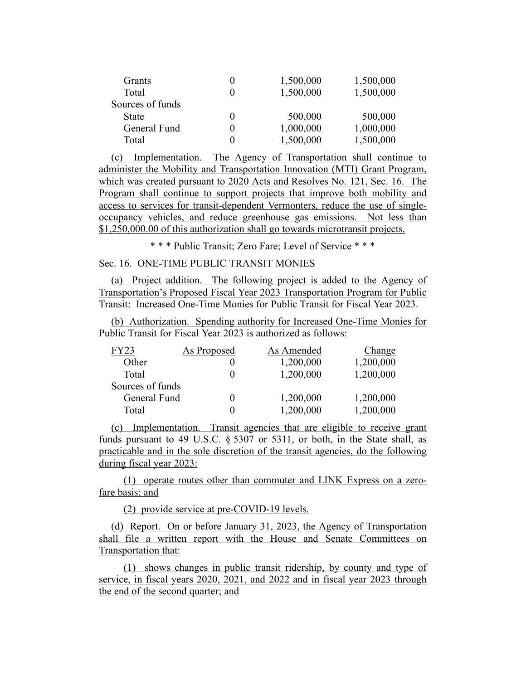| Grants           | 0 | 1,500,000 | 1,500,000 |
|------------------|---|-----------|-----------|
| Total            |   | 1,500,000 | 1,500,000 |
| Sources of funds |   |           |           |
| <b>State</b>     | 0 | 500,000   | 500,000   |
| General Fund     |   | 1,000,000 | 1,000,000 |
| Total            |   | 1,500,000 | 1,500,000 |

(c) Implementation. The Agency of Transportation shall continue to administer the Mobility and Transportation Innovation (MTI) Grant Program, which was created pursuant to 2020 Acts and Resolves No. 121, Sec. 16. The Program shall continue to support projects that improve both mobility and access to services for transit-dependent Vermonters, reduce the use of singleoccupancy vehicles, and reduce greenhouse gas emissions. Not less than \$1,250,000.00 of this authorization shall go towards microtransit projects.

\* \* \* Public Transit; Zero Fare; Level of Service \* \* \*

## Sec. 16. ONE-TIME PUBLIC TRANSIT MONIES

(a) Project addition. The following project is added to the Agency of Transportation's Proposed Fiscal Year 2023 Transportation Program for Public Transit: Increased One-Time Monies for Public Transit for Fiscal Year 2023.

(b) Authorization. Spending authority for Increased One-Time Monies for Public Transit for Fiscal Year 2023 is authorized as follows:

| FY23             | As Proposed | As Amended | Change    |
|------------------|-------------|------------|-----------|
| Other            |             | 1,200,000  | 1,200,000 |
| Total            |             | 1,200,000  | 1,200,000 |
| Sources of funds |             |            |           |
| General Fund     | 0           | 1,200,000  | 1,200,000 |
| Total            |             | 1,200,000  | 1,200,000 |

(c) Implementation. Transit agencies that are eligible to receive grant funds pursuant to 49 U.S.C. § 5307 or 5311, or both, in the State shall, as practicable and in the sole discretion of the transit agencies, do the following during fiscal year 2023:

(1) operate routes other than commuter and LINK Express on a zerofare basis; and

(2) provide service at pre-COVID-19 levels.

(d) Report. On or before January 31, 2023, the Agency of Transportation shall file a written report with the House and Senate Committees on Transportation that:

(1) shows changes in public transit ridership, by county and type of service, in fiscal years 2020, 2021, and 2022 and in fiscal year 2023 through the end of the second quarter; and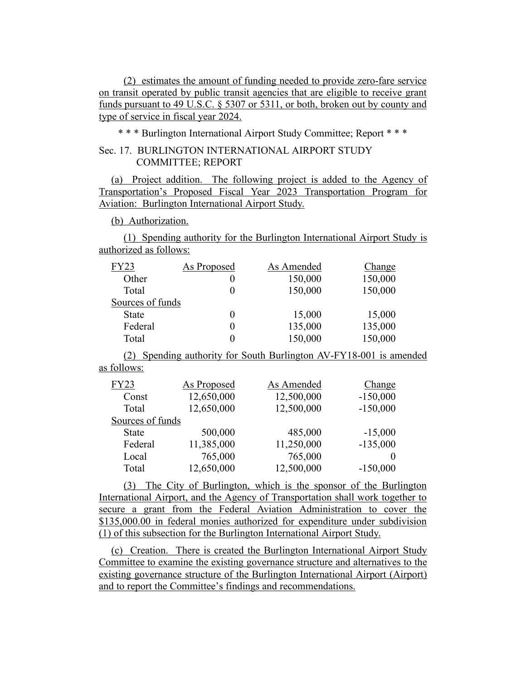(2) estimates the amount of funding needed to provide zero-fare service on transit operated by public transit agencies that are eligible to receive grant funds pursuant to 49 U.S.C. § 5307 or 5311, or both, broken out by county and type of service in fiscal year 2024.

\* \* \* Burlington International Airport Study Committee; Report \* \* \*

# Sec. 17. BURLINGTON INTERNATIONAL AIRPORT STUDY COMMITTEE; REPORT

(a) Project addition. The following project is added to the Agency of Transportation's Proposed Fiscal Year 2023 Transportation Program for Aviation: Burlington International Airport Study.

(b) Authorization.

(1) Spending authority for the Burlington International Airport Study is authorized as follows:

| <b>FY23</b>      | As Proposed | As Amended | Change  |
|------------------|-------------|------------|---------|
| Other            |             | 150,000    | 150,000 |
| Total            |             | 150,000    | 150,000 |
| Sources of funds |             |            |         |
| <b>State</b>     | 0           | 15,000     | 15,000  |
| Federal          |             | 135,000    | 135,000 |
| Total            |             | 150,000    | 150,000 |

(2) Spending authority for South Burlington AV-FY18-001 is amended as follows:

| <b>FY23</b>      | As Proposed | As Amended | Change     |
|------------------|-------------|------------|------------|
| Const            | 12,650,000  | 12,500,000 | $-150,000$ |
| Total            | 12,650,000  | 12,500,000 | $-150,000$ |
| Sources of funds |             |            |            |
| <b>State</b>     | 500,000     | 485,000    | $-15,000$  |
| Federal          | 11,385,000  | 11,250,000 | $-135,000$ |
| Local            | 765,000     | 765,000    |            |
| Total            | 12,650,000  | 12,500,000 | $-150,000$ |

(3) The City of Burlington, which is the sponsor of the Burlington International Airport, and the Agency of Transportation shall work together to secure a grant from the Federal Aviation Administration to cover the \$135,000.00 in federal monies authorized for expenditure under subdivision (1) of this subsection for the Burlington International Airport Study.

(c) Creation. There is created the Burlington International Airport Study Committee to examine the existing governance structure and alternatives to the existing governance structure of the Burlington International Airport (Airport) and to report the Committee's findings and recommendations.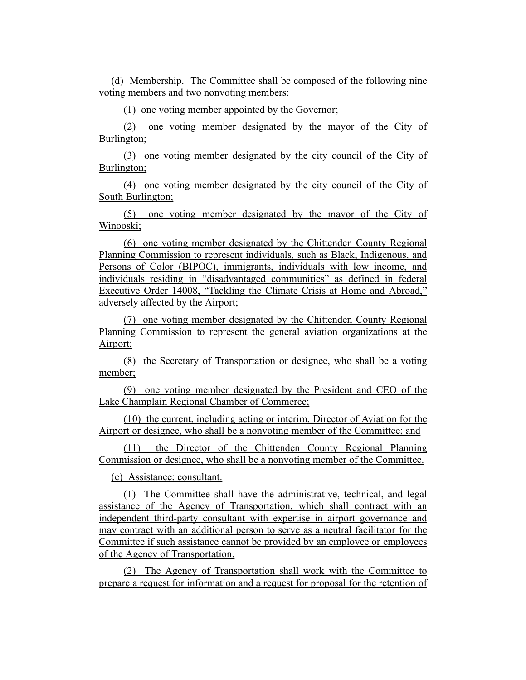(d) Membership. The Committee shall be composed of the following nine voting members and two nonvoting members:

(1) one voting member appointed by the Governor;

(2) one voting member designated by the mayor of the City of Burlington;

(3) one voting member designated by the city council of the City of Burlington;

(4) one voting member designated by the city council of the City of South Burlington;

(5) one voting member designated by the mayor of the City of Winooski;

(6) one voting member designated by the Chittenden County Regional Planning Commission to represent individuals, such as Black, Indigenous, and Persons of Color (BIPOC), immigrants, individuals with low income, and individuals residing in "disadvantaged communities" as defined in federal Executive Order 14008, "Tackling the Climate Crisis at Home and Abroad," adversely affected by the Airport;

(7) one voting member designated by the Chittenden County Regional Planning Commission to represent the general aviation organizations at the Airport;

(8) the Secretary of Transportation or designee, who shall be a voting member;

(9) one voting member designated by the President and CEO of the Lake Champlain Regional Chamber of Commerce;

(10) the current, including acting or interim, Director of Aviation for the Airport or designee, who shall be a nonvoting member of the Committee; and

(11) the Director of the Chittenden County Regional Planning Commission or designee, who shall be a nonvoting member of the Committee.

(e) Assistance; consultant.

(1) The Committee shall have the administrative, technical, and legal assistance of the Agency of Transportation, which shall contract with an independent third-party consultant with expertise in airport governance and may contract with an additional person to serve as a neutral facilitator for the Committee if such assistance cannot be provided by an employee or employees of the Agency of Transportation.

(2) The Agency of Transportation shall work with the Committee to prepare a request for information and a request for proposal for the retention of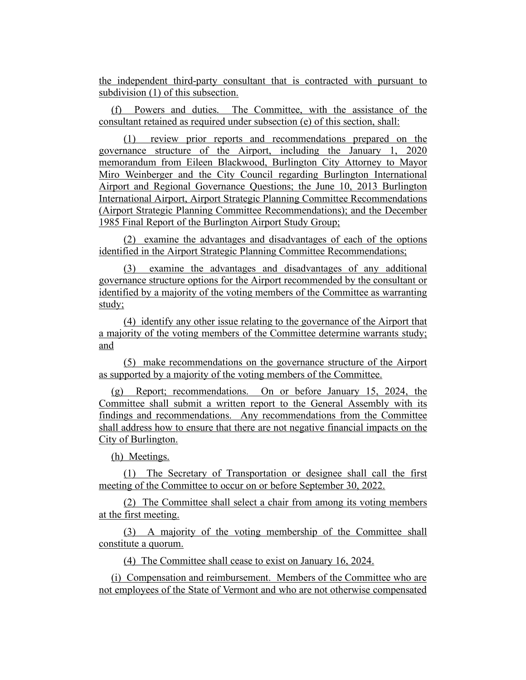the independent third-party consultant that is contracted with pursuant to subdivision (1) of this subsection.

(f) Powers and duties. The Committee, with the assistance of the consultant retained as required under subsection (e) of this section, shall:

(1) review prior reports and recommendations prepared on the governance structure of the Airport, including the January 1, 2020 memorandum from Eileen Blackwood, Burlington City Attorney to Mayor Miro Weinberger and the City Council regarding Burlington International Airport and Regional Governance Questions; the June 10, 2013 Burlington International Airport, Airport Strategic Planning Committee Recommendations (Airport Strategic Planning Committee Recommendations); and the December 1985 Final Report of the Burlington Airport Study Group;

(2) examine the advantages and disadvantages of each of the options identified in the Airport Strategic Planning Committee Recommendations;

(3) examine the advantages and disadvantages of any additional governance structure options for the Airport recommended by the consultant or identified by a majority of the voting members of the Committee as warranting study;

(4) identify any other issue relating to the governance of the Airport that a majority of the voting members of the Committee determine warrants study; and

(5) make recommendations on the governance structure of the Airport as supported by a majority of the voting members of the Committee.

(g) Report; recommendations. On or before January 15, 2024, the Committee shall submit a written report to the General Assembly with its findings and recommendations. Any recommendations from the Committee shall address how to ensure that there are not negative financial impacts on the City of Burlington.

(h) Meetings.

(1) The Secretary of Transportation or designee shall call the first meeting of the Committee to occur on or before September 30, 2022.

(2) The Committee shall select a chair from among its voting members at the first meeting.

(3) A majority of the voting membership of the Committee shall constitute a quorum.

(4) The Committee shall cease to exist on January 16, 2024.

(i) Compensation and reimbursement. Members of the Committee who are not employees of the State of Vermont and who are not otherwise compensated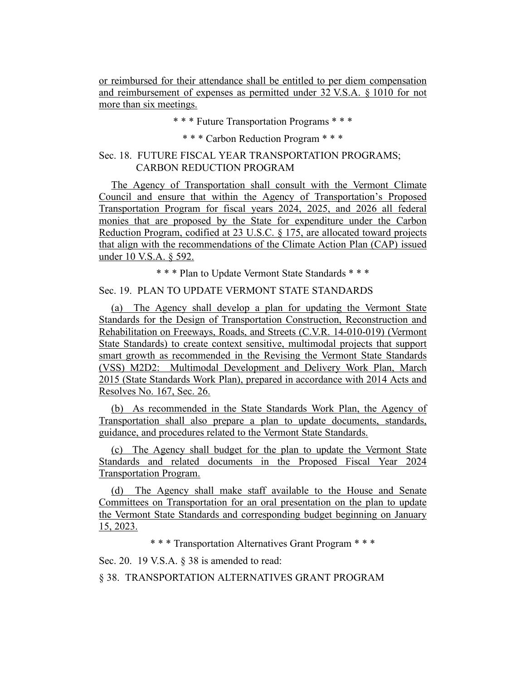or reimbursed for their attendance shall be entitled to per diem compensation and reimbursement of expenses as permitted under 32 V.S.A. § 1010 for not more than six meetings.

\* \* \* Future Transportation Programs \* \* \*

\* \* \* Carbon Reduction Program \* \* \*

# Sec. 18. FUTURE FISCAL YEAR TRANSPORTATION PROGRAMS; CARBON REDUCTION PROGRAM

The Agency of Transportation shall consult with the Vermont Climate Council and ensure that within the Agency of Transportation's Proposed Transportation Program for fiscal years 2024, 2025, and 2026 all federal monies that are proposed by the State for expenditure under the Carbon Reduction Program, codified at 23 U.S.C. § 175, are allocated toward projects that align with the recommendations of the Climate Action Plan (CAP) issued under 10 V.S.A. § 592.

\* \* \* Plan to Update Vermont State Standards \* \* \*

Sec. 19. PLAN TO UPDATE VERMONT STATE STANDARDS

(a) The Agency shall develop a plan for updating the Vermont State Standards for the Design of Transportation Construction, Reconstruction and Rehabilitation on Freeways, Roads, and Streets (C.V.R. 14-010-019) (Vermont State Standards) to create context sensitive, multimodal projects that support smart growth as recommended in the Revising the Vermont State Standards (VSS) M2D2: Multimodal Development and Delivery Work Plan, March 2015 (State Standards Work Plan), prepared in accordance with 2014 Acts and Resolves No. 167, Sec. 26.

(b) As recommended in the State Standards Work Plan, the Agency of Transportation shall also prepare a plan to update documents, standards, guidance, and procedures related to the Vermont State Standards.

(c) The Agency shall budget for the plan to update the Vermont State Standards and related documents in the Proposed Fiscal Year 2024 Transportation Program.

(d) The Agency shall make staff available to the House and Senate Committees on Transportation for an oral presentation on the plan to update the Vermont State Standards and corresponding budget beginning on January 15, 2023.

\* \* \* Transportation Alternatives Grant Program \* \* \*

Sec. 20. 19 V.S.A. § 38 is amended to read:

§ 38. TRANSPORTATION ALTERNATIVES GRANT PROGRAM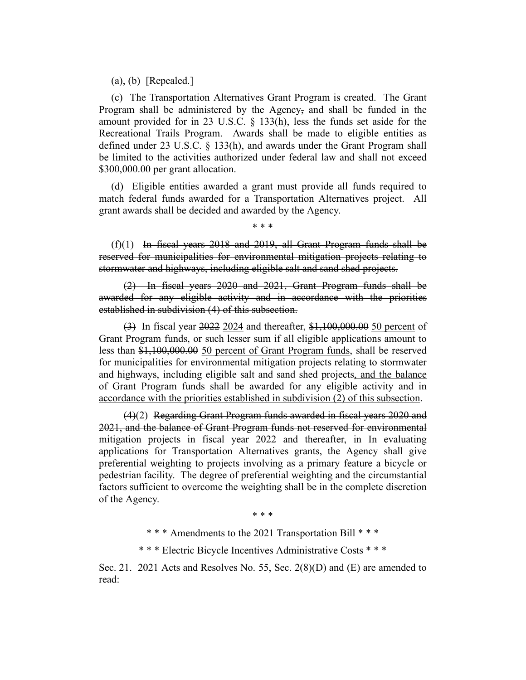(a), (b) [Repealed.]

(c) The Transportation Alternatives Grant Program is created. The Grant Program shall be administered by the Agency, and shall be funded in the amount provided for in 23 U.S.C. § 133(h), less the funds set aside for the Recreational Trails Program. Awards shall be made to eligible entities as defined under 23 U.S.C. § 133(h), and awards under the Grant Program shall be limited to the activities authorized under federal law and shall not exceed \$300,000.00 per grant allocation.

(d) Eligible entities awarded a grant must provide all funds required to match federal funds awarded for a Transportation Alternatives project. All grant awards shall be decided and awarded by the Agency.

\* \* \*

 $(f)(1)$  In fiscal years 2018 and 2019, all Grant Program funds shall be reserved for municipalities for environmental mitigation projects relating to stormwater and highways, including eligible salt and sand shed projects.

(2) In fiscal years 2020 and 2021, Grant Program funds shall be awarded for any eligible activity and in accordance with the priorities established in subdivision (4) of this subsection.

(3) In fiscal year 2022 2024 and thereafter, \$1,100,000.00 50 percent of Grant Program funds, or such lesser sum if all eligible applications amount to less than \$1,100,000.00 50 percent of Grant Program funds, shall be reserved for municipalities for environmental mitigation projects relating to stormwater and highways, including eligible salt and sand shed projects, and the balance of Grant Program funds shall be awarded for any eligible activity and in accordance with the priorities established in subdivision (2) of this subsection.

(4)(2) Regarding Grant Program funds awarded in fiscal years 2020 and 2021, and the balance of Grant Program funds not reserved for environmental mitigation projects in fiscal year 2022 and thereafter, in In evaluating applications for Transportation Alternatives grants, the Agency shall give preferential weighting to projects involving as a primary feature a bicycle or pedestrian facility. The degree of preferential weighting and the circumstantial factors sufficient to overcome the weighting shall be in the complete discretion of the Agency.

\* \* \*

\* \* \* Amendments to the 2021 Transportation Bill \* \* \*

\* \* \* Electric Bicycle Incentives Administrative Costs \* \* \*

Sec. 21. 2021 Acts and Resolves No. 55, Sec. 2(8)(D) and (E) are amended to read: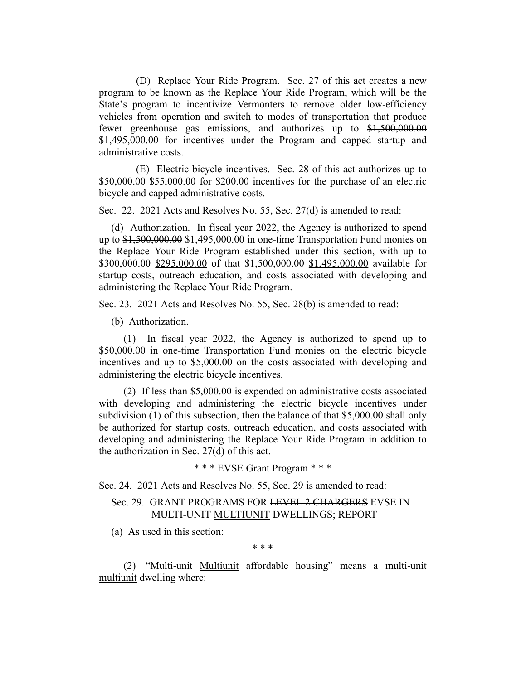(D) Replace Your Ride Program. Sec. 27 of this act creates a new program to be known as the Replace Your Ride Program, which will be the State's program to incentivize Vermonters to remove older low-efficiency vehicles from operation and switch to modes of transportation that produce fewer greenhouse gas emissions, and authorizes up to \$1,500,000.00 \$1,495,000.00 for incentives under the Program and capped startup and administrative costs.

(E) Electric bicycle incentives. Sec. 28 of this act authorizes up to \$50,000.00 \$55,000.00 for \$200.00 incentives for the purchase of an electric bicycle and capped administrative costs.

Sec. 22. 2021 Acts and Resolves No. 55, Sec. 27(d) is amended to read:

(d) Authorization. In fiscal year 2022, the Agency is authorized to spend up to \$1,500,000.00 \$1,495,000.00 in one-time Transportation Fund monies on the Replace Your Ride Program established under this section, with up to \$300,000.00 \$295,000.00 of that \$1,500,000.00 \$1,495,000.00 available for startup costs, outreach education, and costs associated with developing and administering the Replace Your Ride Program.

Sec. 23. 2021 Acts and Resolves No. 55, Sec. 28(b) is amended to read:

(b) Authorization.

(1) In fiscal year 2022, the Agency is authorized to spend up to \$50,000.00 in one-time Transportation Fund monies on the electric bicycle incentives and up to \$5,000.00 on the costs associated with developing and administering the electric bicycle incentives.

(2) If less than \$5,000.00 is expended on administrative costs associated with developing and administering the electric bicycle incentives under subdivision (1) of this subsection, then the balance of that \$5,000.00 shall only be authorized for startup costs, outreach education, and costs associated with developing and administering the Replace Your Ride Program in addition to the authorization in Sec. 27(d) of this act.

\* \* \* EVSE Grant Program \* \* \*

Sec. 24. 2021 Acts and Resolves No. 55, Sec. 29 is amended to read:

# Sec. 29. GRANT PROGRAMS FOR LEVEL 2 CHARGERS EVSE IN MULTI-UNIT MULTIUNIT DWELLINGS; REPORT

(a) As used in this section:

\* \* \*

(2) "Multi-unit Multiunit affordable housing" means a multi-unit multiunit dwelling where: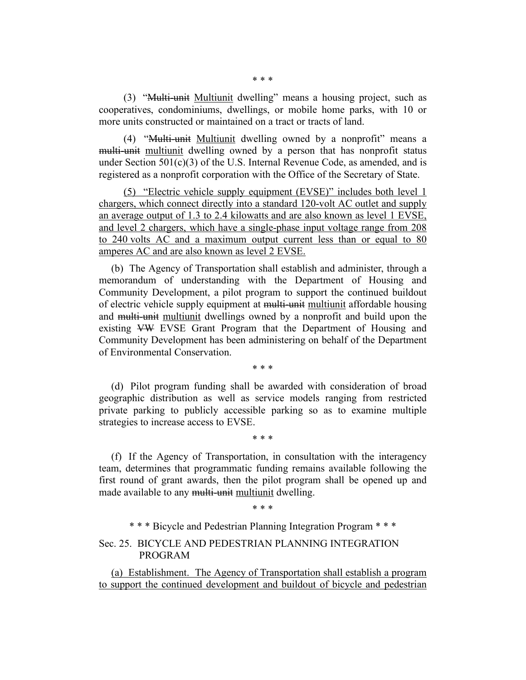(3) "Multi-unit Multiunit dwelling" means a housing project, such as cooperatives, condominiums, dwellings, or mobile home parks, with 10 or more units constructed or maintained on a tract or tracts of land.

(4) "Multi-unit Multiunit dwelling owned by a nonprofit" means a multi-unit multiunit dwelling owned by a person that has nonprofit status under Section  $501(c)(3)$  of the U.S. Internal Revenue Code, as amended, and is registered as a nonprofit corporation with the Office of the Secretary of State.

(5) "Electric vehicle supply equipment (EVSE)" includes both level 1 chargers, which connect directly into a standard 120-volt AC outlet and supply an average output of 1.3 to 2.4 kilowatts and are also known as level 1 EVSE, and level 2 chargers, which have a single-phase input voltage range from 208 to 240 volts AC and a maximum output current less than or equal to 80 amperes AC and are also known as level 2 EVSE.

(b) The Agency of Transportation shall establish and administer, through a memorandum of understanding with the Department of Housing and Community Development, a pilot program to support the continued buildout of electric vehicle supply equipment at multi-unit multiunit affordable housing and multi-unit multiunit dwellings owned by a nonprofit and build upon the existing VW EVSE Grant Program that the Department of Housing and Community Development has been administering on behalf of the Department of Environmental Conservation.

\* \* \*

(d) Pilot program funding shall be awarded with consideration of broad geographic distribution as well as service models ranging from restricted private parking to publicly accessible parking so as to examine multiple strategies to increase access to EVSE.

\* \* \*

(f) If the Agency of Transportation, in consultation with the interagency team, determines that programmatic funding remains available following the first round of grant awards, then the pilot program shall be opened up and made available to any multi-unit multiunit dwelling.

\* \* \*

\* \* \* Bicycle and Pedestrian Planning Integration Program \* \* \*

Sec. 25. BICYCLE AND PEDESTRIAN PLANNING INTEGRATION PROGRAM

(a) Establishment. The Agency of Transportation shall establish a program to support the continued development and buildout of bicycle and pedestrian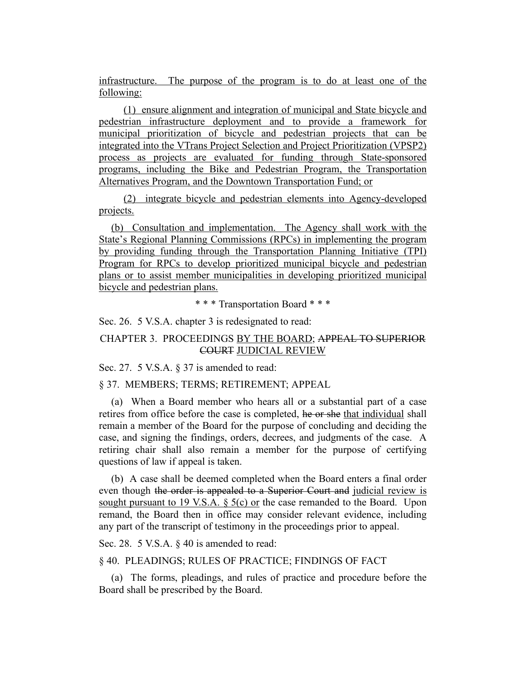infrastructure. The purpose of the program is to do at least one of the following:

(1) ensure alignment and integration of municipal and State bicycle and pedestrian infrastructure deployment and to provide a framework for municipal prioritization of bicycle and pedestrian projects that can be integrated into the VTrans Project Selection and Project Prioritization (VPSP2) process as projects are evaluated for funding through State-sponsored programs, including the Bike and Pedestrian Program, the Transportation Alternatives Program, and the Downtown Transportation Fund; or

(2) integrate bicycle and pedestrian elements into Agency-developed projects.

(b) Consultation and implementation. The Agency shall work with the State's Regional Planning Commissions (RPCs) in implementing the program by providing funding through the Transportation Planning Initiative (TPI) Program for RPCs to develop prioritized municipal bicycle and pedestrian plans or to assist member municipalities in developing prioritized municipal bicycle and pedestrian plans.

\* \* \* Transportation Board \* \* \*

Sec. 26. 5 V.S.A. chapter 3 is redesignated to read:

# CHAPTER 3. PROCEEDINGS BY THE BOARD; APPEAL TO SUPERIOR COURT JUDICIAL REVIEW

Sec. 27. 5 V.S.A. § 37 is amended to read:

## § 37. MEMBERS; TERMS; RETIREMENT; APPEAL

(a) When a Board member who hears all or a substantial part of a case retires from office before the case is completed, he or she that individual shall remain a member of the Board for the purpose of concluding and deciding the case, and signing the findings, orders, decrees, and judgments of the case. A retiring chair shall also remain a member for the purpose of certifying questions of law if appeal is taken.

(b) A case shall be deemed completed when the Board enters a final order even though the order is appealed to a Superior Court and judicial review is sought pursuant to 19 V.S.A. § 5(c) or the case remanded to the Board. Upon remand, the Board then in office may consider relevant evidence, including any part of the transcript of testimony in the proceedings prior to appeal.

Sec. 28. 5 V.S.A.  $\&$  40 is amended to read:

§ 40. PLEADINGS; RULES OF PRACTICE; FINDINGS OF FACT

(a) The forms, pleadings, and rules of practice and procedure before the Board shall be prescribed by the Board.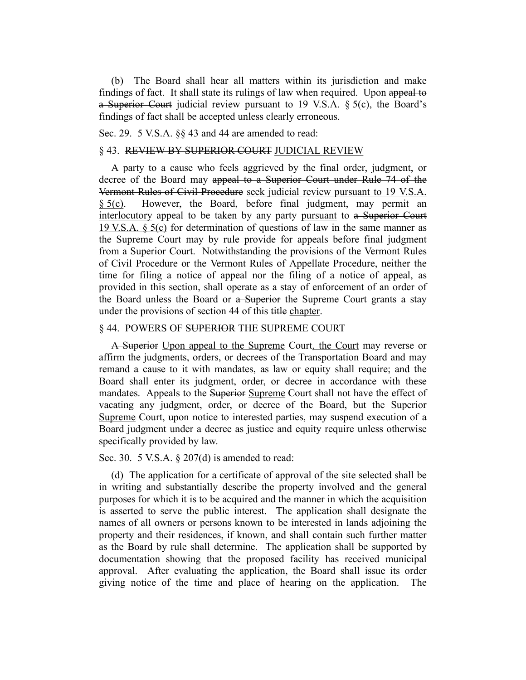(b) The Board shall hear all matters within its jurisdiction and make findings of fact. It shall state its rulings of law when required. Upon appeal to a Superior Court judicial review pursuant to 19 V.S.A. § 5(c), the Board's findings of fact shall be accepted unless clearly erroneous.

Sec. 29. 5 V.S.A. §§ 43 and 44 are amended to read:

#### § 43. REVIEW BY SUPERIOR COURT JUDICIAL REVIEW

A party to a cause who feels aggrieved by the final order, judgment, or decree of the Board may appeal to a Superior Court under Rule 74 of the Vermont Rules of Civil Procedure seek judicial review pursuant to 19 V.S.A. § 5(c). However, the Board, before final judgment, may permit an interlocutory appeal to be taken by any party pursuant to a Superior Court 19 V.S.A. § 5(c) for determination of questions of law in the same manner as the Supreme Court may by rule provide for appeals before final judgment from a Superior Court. Notwithstanding the provisions of the Vermont Rules of Civil Procedure or the Vermont Rules of Appellate Procedure, neither the time for filing a notice of appeal nor the filing of a notice of appeal, as provided in this section, shall operate as a stay of enforcement of an order of the Board unless the Board or a Superior the Supreme Court grants a stay under the provisions of section 44 of this title chapter.

## § 44. POWERS OF SUPERIOR THE SUPREME COURT

A Superior Upon appeal to the Supreme Court, the Court may reverse or affirm the judgments, orders, or decrees of the Transportation Board and may remand a cause to it with mandates, as law or equity shall require; and the Board shall enter its judgment, order, or decree in accordance with these mandates. Appeals to the Superior Supreme Court shall not have the effect of vacating any judgment, order, or decree of the Board, but the Superior Supreme Court, upon notice to interested parties, may suspend execution of a Board judgment under a decree as justice and equity require unless otherwise specifically provided by law.

Sec. 30. 5 V.S.A. § 207(d) is amended to read:

(d) The application for a certificate of approval of the site selected shall be in writing and substantially describe the property involved and the general purposes for which it is to be acquired and the manner in which the acquisition is asserted to serve the public interest. The application shall designate the names of all owners or persons known to be interested in lands adjoining the property and their residences, if known, and shall contain such further matter as the Board by rule shall determine. The application shall be supported by documentation showing that the proposed facility has received municipal approval. After evaluating the application, the Board shall issue its order giving notice of the time and place of hearing on the application. The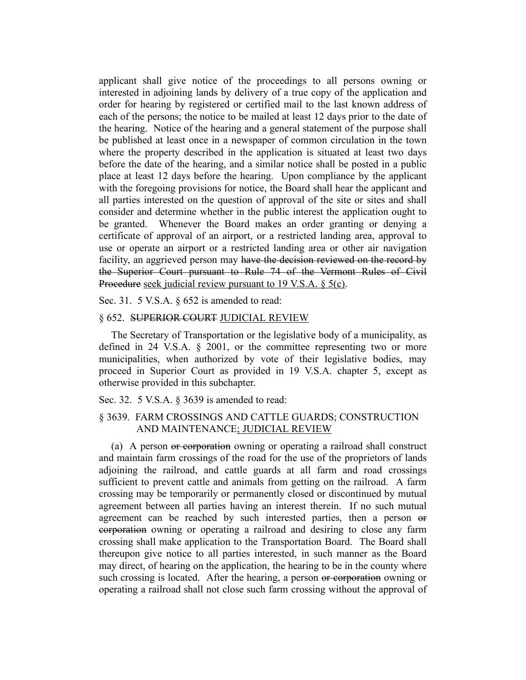applicant shall give notice of the proceedings to all persons owning or interested in adjoining lands by delivery of a true copy of the application and order for hearing by registered or certified mail to the last known address of each of the persons; the notice to be mailed at least 12 days prior to the date of the hearing. Notice of the hearing and a general statement of the purpose shall be published at least once in a newspaper of common circulation in the town where the property described in the application is situated at least two days before the date of the hearing, and a similar notice shall be posted in a public place at least 12 days before the hearing. Upon compliance by the applicant with the foregoing provisions for notice, the Board shall hear the applicant and all parties interested on the question of approval of the site or sites and shall consider and determine whether in the public interest the application ought to be granted. Whenever the Board makes an order granting or denying a certificate of approval of an airport, or a restricted landing area, approval to use or operate an airport or a restricted landing area or other air navigation facility, an aggrieved person may have the decision reviewed on the record by the Superior Court pursuant to Rule 74 of the Vermont Rules of Civil Procedure seek judicial review pursuant to 19 V.S.A. § 5(c).

Sec. 31. 5 V.S.A. § 652 is amended to read:

## § 652. SUPERIOR COURT JUDICIAL REVIEW

The Secretary of Transportation or the legislative body of a municipality, as defined in 24 V.S.A. § 2001, or the committee representing two or more municipalities, when authorized by vote of their legislative bodies, may proceed in Superior Court as provided in 19 V.S.A. chapter 5, except as otherwise provided in this subchapter.

Sec. 32. 5 V.S.A. § 3639 is amended to read:

## § 3639. FARM CROSSINGS AND CATTLE GUARDS; CONSTRUCTION AND MAINTENANCE; JUDICIAL REVIEW

(a) A person or corporation owning or operating a railroad shall construct and maintain farm crossings of the road for the use of the proprietors of lands adjoining the railroad, and cattle guards at all farm and road crossings sufficient to prevent cattle and animals from getting on the railroad. A farm crossing may be temporarily or permanently closed or discontinued by mutual agreement between all parties having an interest therein. If no such mutual agreement can be reached by such interested parties, then a person or corporation owning or operating a railroad and desiring to close any farm crossing shall make application to the Transportation Board. The Board shall thereupon give notice to all parties interested, in such manner as the Board may direct, of hearing on the application, the hearing to be in the county where such crossing is located. After the hearing, a person or corporation owning or operating a railroad shall not close such farm crossing without the approval of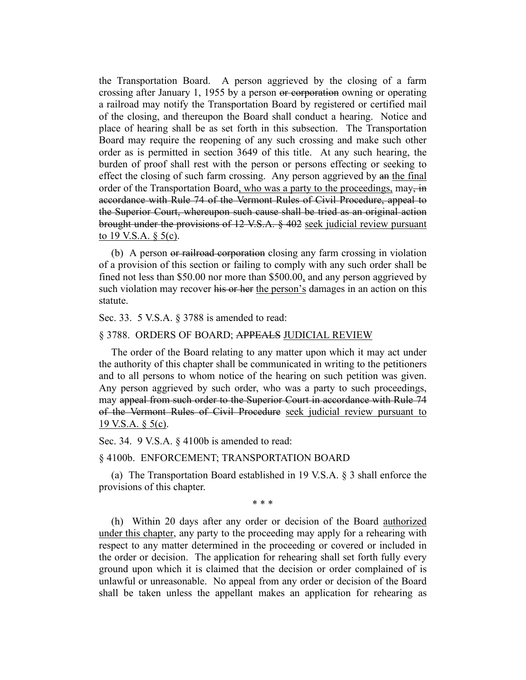the Transportation Board. A person aggrieved by the closing of a farm crossing after January 1, 1955 by a person or corporation owning or operating a railroad may notify the Transportation Board by registered or certified mail of the closing, and thereupon the Board shall conduct a hearing. Notice and place of hearing shall be as set forth in this subsection. The Transportation Board may require the reopening of any such crossing and make such other order as is permitted in section 3649 of this title. At any such hearing, the burden of proof shall rest with the person or persons effecting or seeking to effect the closing of such farm crossing. Any person aggrieved by an the final order of the Transportation Board, who was a party to the proceedings,  $\text{may, in}$ accordance with Rule 74 of the Vermont Rules of Civil Procedure, appeal to the Superior Court, whereupon such cause shall be tried as an original action brought under the provisions of 12 V.S.A. § 402 seek judicial review pursuant to 19 V.S.A.  $\S$  5(c).

(b) A person or railroad corporation closing any farm crossing in violation of a provision of this section or failing to comply with any such order shall be fined not less than \$50.00 nor more than \$500.00, and any person aggrieved by such violation may recover his or her the person's damages in an action on this statute.

## Sec. 33. 5 V.S.A. § 3788 is amended to read:

### § 3788. ORDERS OF BOARD; APPEALS JUDICIAL REVIEW

The order of the Board relating to any matter upon which it may act under the authority of this chapter shall be communicated in writing to the petitioners and to all persons to whom notice of the hearing on such petition was given. Any person aggrieved by such order, who was a party to such proceedings, may appeal from such order to the Superior Court in accordance with Rule 74 of the Vermont Rules of Civil Procedure seek judicial review pursuant to 19 V.S.A. § 5(c).

Sec. 34. 9 V.S.A. § 4100b is amended to read:

§ 4100b. ENFORCEMENT; TRANSPORTATION BOARD

(a) The Transportation Board established in 19 V.S.A. § 3 shall enforce the provisions of this chapter.

\* \* \*

(h) Within 20 days after any order or decision of the Board authorized under this chapter, any party to the proceeding may apply for a rehearing with respect to any matter determined in the proceeding or covered or included in the order or decision. The application for rehearing shall set forth fully every ground upon which it is claimed that the decision or order complained of is unlawful or unreasonable. No appeal from any order or decision of the Board shall be taken unless the appellant makes an application for rehearing as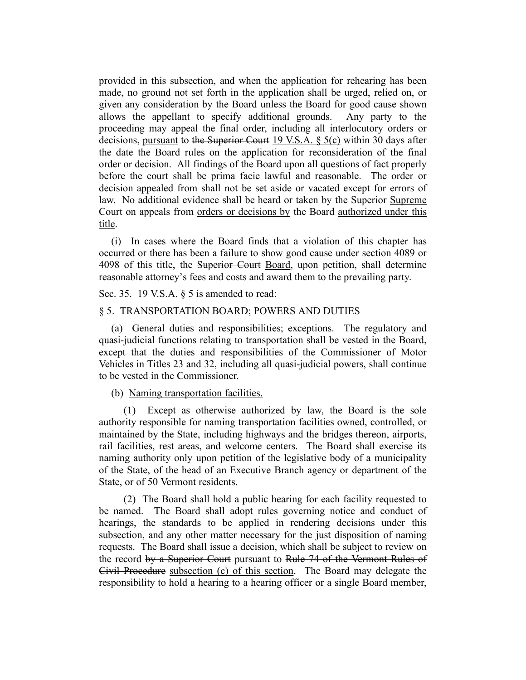provided in this subsection, and when the application for rehearing has been made, no ground not set forth in the application shall be urged, relied on, or given any consideration by the Board unless the Board for good cause shown allows the appellant to specify additional grounds. Any party to the proceeding may appeal the final order, including all interlocutory orders or decisions, pursuant to the Superior Court 19 V.S.A. § 5(c) within 30 days after the date the Board rules on the application for reconsideration of the final order or decision. All findings of the Board upon all questions of fact properly before the court shall be prima facie lawful and reasonable. The order or decision appealed from shall not be set aside or vacated except for errors of law. No additional evidence shall be heard or taken by the Superior Supreme Court on appeals from orders or decisions by the Board authorized under this title.

(i) In cases where the Board finds that a violation of this chapter has occurred or there has been a failure to show good cause under section 4089 or 4098 of this title, the Superior Court Board, upon petition, shall determine reasonable attorney's fees and costs and award them to the prevailing party.

Sec. 35. 19 V.S.A. § 5 is amended to read:

## § 5. TRANSPORTATION BOARD; POWERS AND DUTIES

(a) General duties and responsibilities; exceptions. The regulatory and quasi-judicial functions relating to transportation shall be vested in the Board, except that the duties and responsibilities of the Commissioner of Motor Vehicles in Titles 23 and 32, including all quasi-judicial powers, shall continue to be vested in the Commissioner.

(b) Naming transportation facilities.

(1) Except as otherwise authorized by law, the Board is the sole authority responsible for naming transportation facilities owned, controlled, or maintained by the State, including highways and the bridges thereon, airports, rail facilities, rest areas, and welcome centers. The Board shall exercise its naming authority only upon petition of the legislative body of a municipality of the State, of the head of an Executive Branch agency or department of the State, or of 50 Vermont residents.

(2) The Board shall hold a public hearing for each facility requested to be named. The Board shall adopt rules governing notice and conduct of hearings, the standards to be applied in rendering decisions under this subsection, and any other matter necessary for the just disposition of naming requests. The Board shall issue a decision, which shall be subject to review on the record by a Superior Court pursuant to Rule 74 of the Vermont Rules of Civil Procedure subsection (c) of this section. The Board may delegate the responsibility to hold a hearing to a hearing officer or a single Board member,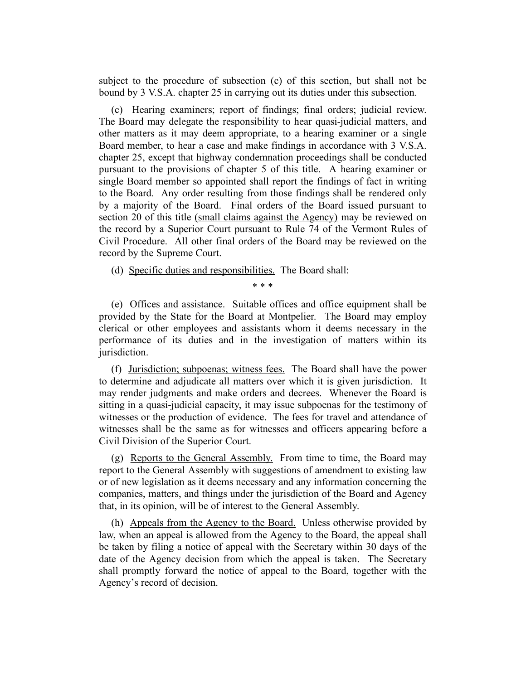subject to the procedure of subsection (c) of this section, but shall not be bound by 3 V.S.A. chapter 25 in carrying out its duties under this subsection.

(c) Hearing examiners; report of findings; final orders; judicial review. The Board may delegate the responsibility to hear quasi-judicial matters, and other matters as it may deem appropriate, to a hearing examiner or a single Board member, to hear a case and make findings in accordance with 3 V.S.A. chapter 25, except that highway condemnation proceedings shall be conducted pursuant to the provisions of chapter 5 of this title. A hearing examiner or single Board member so appointed shall report the findings of fact in writing to the Board. Any order resulting from those findings shall be rendered only by a majority of the Board. Final orders of the Board issued pursuant to section 20 of this title (small claims against the Agency) may be reviewed on the record by a Superior Court pursuant to Rule 74 of the Vermont Rules of Civil Procedure. All other final orders of the Board may be reviewed on the record by the Supreme Court.

(d) Specific duties and responsibilities. The Board shall:

\* \* \*

(e) Offices and assistance. Suitable offices and office equipment shall be provided by the State for the Board at Montpelier. The Board may employ clerical or other employees and assistants whom it deems necessary in the performance of its duties and in the investigation of matters within its jurisdiction.

(f) Jurisdiction; subpoenas; witness fees. The Board shall have the power to determine and adjudicate all matters over which it is given jurisdiction. It may render judgments and make orders and decrees. Whenever the Board is sitting in a quasi-judicial capacity, it may issue subpoenas for the testimony of witnesses or the production of evidence. The fees for travel and attendance of witnesses shall be the same as for witnesses and officers appearing before a Civil Division of the Superior Court.

(g) Reports to the General Assembly. From time to time, the Board may report to the General Assembly with suggestions of amendment to existing law or of new legislation as it deems necessary and any information concerning the companies, matters, and things under the jurisdiction of the Board and Agency that, in its opinion, will be of interest to the General Assembly.

(h) Appeals from the Agency to the Board. Unless otherwise provided by law, when an appeal is allowed from the Agency to the Board, the appeal shall be taken by filing a notice of appeal with the Secretary within 30 days of the date of the Agency decision from which the appeal is taken. The Secretary shall promptly forward the notice of appeal to the Board, together with the Agency's record of decision.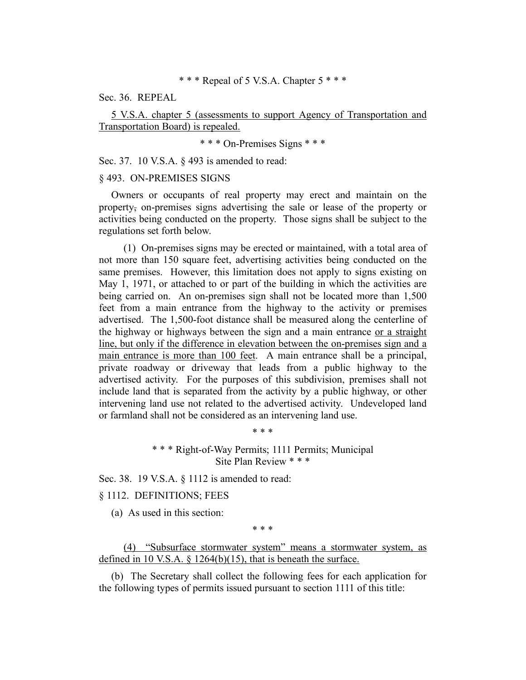### \* \* \* Repeal of 5 V.S.A. Chapter 5 \* \* \*

Sec. 36. REPEAL

5 V.S.A. chapter 5 (assessments to support Agency of Transportation and Transportation Board) is repealed.

\* \* \* On-Premises Signs \* \* \*

Sec. 37. 10 V.S.A. § 493 is amended to read:

#### § 493. ON-PREMISES SIGNS

Owners or occupants of real property may erect and maintain on the property, on-premises signs advertising the sale or lease of the property or activities being conducted on the property. Those signs shall be subject to the regulations set forth below.

(1) On-premises signs may be erected or maintained, with a total area of not more than 150 square feet, advertising activities being conducted on the same premises. However, this limitation does not apply to signs existing on May 1, 1971, or attached to or part of the building in which the activities are being carried on. An on-premises sign shall not be located more than 1,500 feet from a main entrance from the highway to the activity or premises advertised. The 1,500-foot distance shall be measured along the centerline of the highway or highways between the sign and a main entrance or a straight line, but only if the difference in elevation between the on-premises sign and a main entrance is more than 100 feet. A main entrance shall be a principal, private roadway or driveway that leads from a public highway to the advertised activity. For the purposes of this subdivision, premises shall not include land that is separated from the activity by a public highway, or other intervening land use not related to the advertised activity. Undeveloped land or farmland shall not be considered as an intervening land use.

> \* \* \* Right-of-Way Permits; 1111 Permits; Municipal Site Plan Review \* \* \*

\* \* \*

Sec. 38. 19 V.S.A. § 1112 is amended to read:

## § 1112. DEFINITIONS; FEES

(a) As used in this section:

\* \* \*

(4) "Subsurface stormwater system" means a stormwater system, as defined in 10 V.S.A.  $\S$  1264(b)(15), that is beneath the surface.

(b) The Secretary shall collect the following fees for each application for the following types of permits issued pursuant to section 1111 of this title: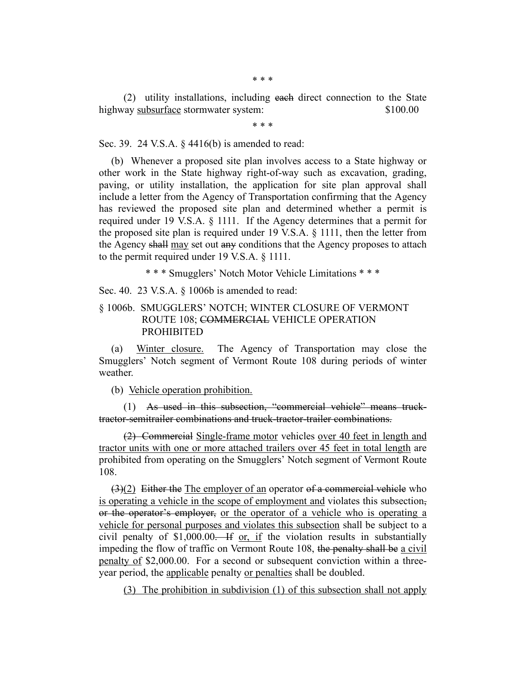\* \* \*

(2) utility installations, including each direct connection to the State highway subsurface stormwater system:  $$100.00$ 

\* \* \*

Sec. 39. 24 V.S.A. § 4416(b) is amended to read:

(b) Whenever a proposed site plan involves access to a State highway or other work in the State highway right-of-way such as excavation, grading, paving, or utility installation, the application for site plan approval shall include a letter from the Agency of Transportation confirming that the Agency has reviewed the proposed site plan and determined whether a permit is required under 19 V.S.A. § 1111. If the Agency determines that a permit for the proposed site plan is required under 19 V.S.A. § 1111, then the letter from the Agency shall may set out any conditions that the Agency proposes to attach to the permit required under 19 V.S.A. § 1111.

\* \* \* Smugglers' Notch Motor Vehicle Limitations \* \* \*

Sec. 40. 23 V.S.A. § 1006b is amended to read:

# § 1006b. SMUGGLERS' NOTCH; WINTER CLOSURE OF VERMONT ROUTE 108; COMMERCIAL VEHICLE OPERATION PROHIBITED

(a) Winter closure. The Agency of Transportation may close the Smugglers' Notch segment of Vermont Route 108 during periods of winter weather.

(b) Vehicle operation prohibition.

(1) As used in this subsection, "commercial vehicle" means trucktractor-semitrailer combinations and truck-tractor-trailer combinations.

(2) Commercial Single-frame motor vehicles over 40 feet in length and tractor units with one or more attached trailers over 45 feet in total length are prohibited from operating on the Smugglers' Notch segment of Vermont Route 108.

 $(3)(2)$  Either the The employer of an operator of a commercial vehicle who is operating a vehicle in the scope of employment and violates this subsection, or the operator's employer, or the operator of a vehicle who is operating a vehicle for personal purposes and violates this subsection shall be subject to a civil penalty of  $$1,000.00$ . If or, if the violation results in substantially impeding the flow of traffic on Vermont Route 108, the penalty shall be a civil penalty of \$2,000.00. For a second or subsequent conviction within a threeyear period, the applicable penalty or penalties shall be doubled.

(3) The prohibition in subdivision (1) of this subsection shall not apply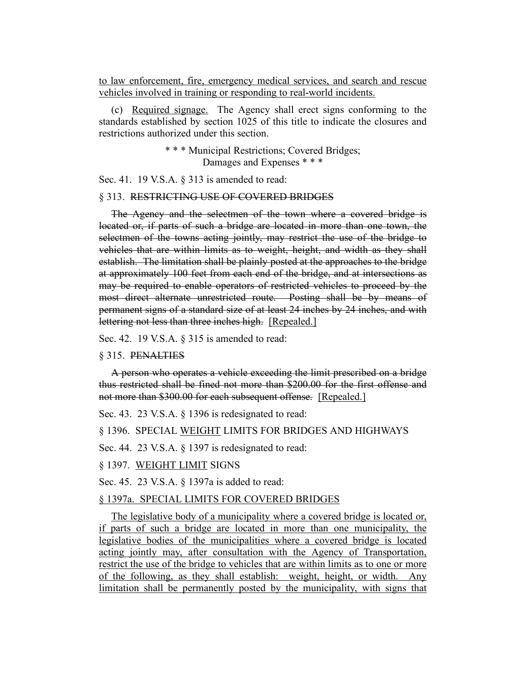to law enforcement, fire, emergency medical services, and search and rescue vehicles involved in training or responding to real-world incidents.

(c) Required signage. The Agency shall erect signs conforming to the standards established by section 1025 of this title to indicate the closures and restrictions authorized under this section.

> \* \* \* Municipal Restrictions; Covered Bridges; Damages and Expenses \* \* \*

Sec. 41. 19 V.S.A. § 313 is amended to read:

#### § 313. RESTRICTING USE OF COVERED BRIDGES

The Agency and the selectmen of the town where a covered bridge is located or, if parts of such a bridge are located in more than one town, the selectmen of the towns acting jointly, may restrict the use of the bridge to vehicles that are within limits as to weight, height, and width as they shall establish. The limitation shall be plainly posted at the approaches to the bridge at approximately 100 feet from each end of the bridge, and at intersections as may be required to enable operators of restricted vehicles to proceed by the most direct alternate unrestricted route. Posting shall be by means of permanent signs of a standard size of at least 24 inches by 24 inches, and with lettering not less than three inches high. [Repealed.]

Sec. 42. 19 V.S.A. § 315 is amended to read:

#### § 315. PENALTIES

A person who operates a vehicle exceeding the limit prescribed on a bridge thus restricted shall be fined not more than \$200.00 for the first offense and not more than \$300.00 for each subsequent offense. [Repealed.]

Sec. 43. 23 V.S.A. § 1396 is redesignated to read:

§ 1396. SPECIAL WEIGHT LIMITS FOR BRIDGES AND HIGHWAYS

Sec. 44. 23 V.S.A. § 1397 is redesignated to read:

§ 1397. WEIGHT LIMIT SIGNS

Sec. 45. 23 V.S.A. § 1397a is added to read:

#### § 1397a. SPECIAL LIMITS FOR COVERED BRIDGES

The legislative body of a municipality where a covered bridge is located or, if parts of such a bridge are located in more than one municipality, the legislative bodies of the municipalities where a covered bridge is located acting jointly may, after consultation with the Agency of Transportation, restrict the use of the bridge to vehicles that are within limits as to one or more of the following, as they shall establish: weight, height, or width. Any limitation shall be permanently posted by the municipality, with signs that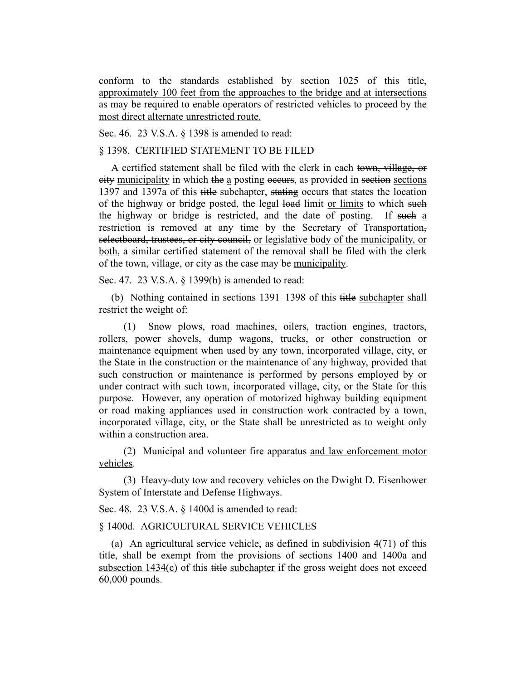conform to the standards established by section 1025 of this title, approximately 100 feet from the approaches to the bridge and at intersections as may be required to enable operators of restricted vehicles to proceed by the most direct alternate unrestricted route.

Sec. 46. 23 V.S.A. § 1398 is amended to read:

## § 1398. CERTIFIED STATEMENT TO BE FILED

A certified statement shall be filed with the clerk in each town, village, or city municipality in which the a posting occurs, as provided in section sections 1397 and 1397a of this title subchapter, stating occurs that states the location of the highway or bridge posted, the legal load limit or limits to which such the highway or bridge is restricted, and the date of posting. If such a restriction is removed at any time by the Secretary of Transportation, selectboard, trustees, or city council, or legislative body of the municipality, or both, a similar certified statement of the removal shall be filed with the clerk of the town, village, or city as the case may be municipality.

Sec. 47. 23 V.S.A. § 1399(b) is amended to read:

(b) Nothing contained in sections 1391–1398 of this title subchapter shall restrict the weight of:

(1) Snow plows, road machines, oilers, traction engines, tractors, rollers, power shovels, dump wagons, trucks, or other construction or maintenance equipment when used by any town, incorporated village, city, or the State in the construction or the maintenance of any highway, provided that such construction or maintenance is performed by persons employed by or under contract with such town, incorporated village, city, or the State for this purpose. However, any operation of motorized highway building equipment or road making appliances used in construction work contracted by a town, incorporated village, city, or the State shall be unrestricted as to weight only within a construction area.

(2) Municipal and volunteer fire apparatus and law enforcement motor vehicles.

(3) Heavy-duty tow and recovery vehicles on the Dwight D. Eisenhower System of Interstate and Defense Highways.

Sec. 48. 23 V.S.A. § 1400d is amended to read:

§ 1400d. AGRICULTURAL SERVICE VEHICLES

(a) An agricultural service vehicle, as defined in subdivision 4(71) of this title, shall be exempt from the provisions of sections 1400 and 1400a and subsection 1434(c) of this title subchapter if the gross weight does not exceed 60,000 pounds.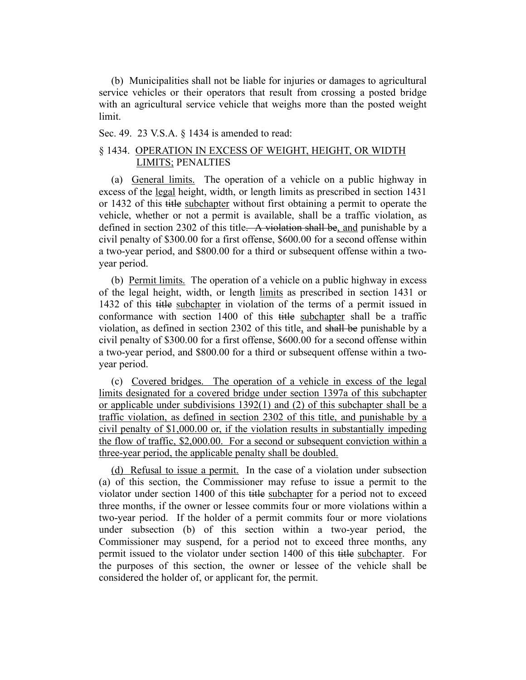(b) Municipalities shall not be liable for injuries or damages to agricultural service vehicles or their operators that result from crossing a posted bridge with an agricultural service vehicle that weighs more than the posted weight limit.

Sec. 49. 23 V.S.A. § 1434 is amended to read:

# § 1434. OPERATION IN EXCESS OF WEIGHT, HEIGHT, OR WIDTH LIMITS; PENALTIES

(a) General limits. The operation of a vehicle on a public highway in excess of the legal height, width, or length limits as prescribed in section 1431 or 1432 of this title subchapter without first obtaining a permit to operate the vehicle, whether or not a permit is available, shall be a traffic violation, as defined in section 2302 of this title. A violation shall be, and punishable by a civil penalty of \$300.00 for a first offense, \$600.00 for a second offense within a two-year period, and \$800.00 for a third or subsequent offense within a twoyear period.

(b) Permit limits. The operation of a vehicle on a public highway in excess of the legal height, width, or length limits as prescribed in section 1431 or 1432 of this title subchapter in violation of the terms of a permit issued in conformance with section 1400 of this title subchapter shall be a traffic violation, as defined in section 2302 of this title, and shall be punishable by a civil penalty of \$300.00 for a first offense, \$600.00 for a second offense within a two-year period, and \$800.00 for a third or subsequent offense within a twoyear period.

(c) Covered bridges. The operation of a vehicle in excess of the legal limits designated for a covered bridge under section 1397a of this subchapter or applicable under subdivisions  $1392(1)$  and (2) of this subchapter shall be a traffic violation, as defined in section 2302 of this title, and punishable by a civil penalty of \$1,000.00 or, if the violation results in substantially impeding the flow of traffic, \$2,000.00. For a second or subsequent conviction within a three-year period, the applicable penalty shall be doubled.

(d) Refusal to issue a permit. In the case of a violation under subsection (a) of this section, the Commissioner may refuse to issue a permit to the violator under section 1400 of this title subchapter for a period not to exceed three months, if the owner or lessee commits four or more violations within a two-year period. If the holder of a permit commits four or more violations under subsection (b) of this section within a two-year period, the Commissioner may suspend, for a period not to exceed three months, any permit issued to the violator under section 1400 of this title subchapter. For the purposes of this section, the owner or lessee of the vehicle shall be considered the holder of, or applicant for, the permit.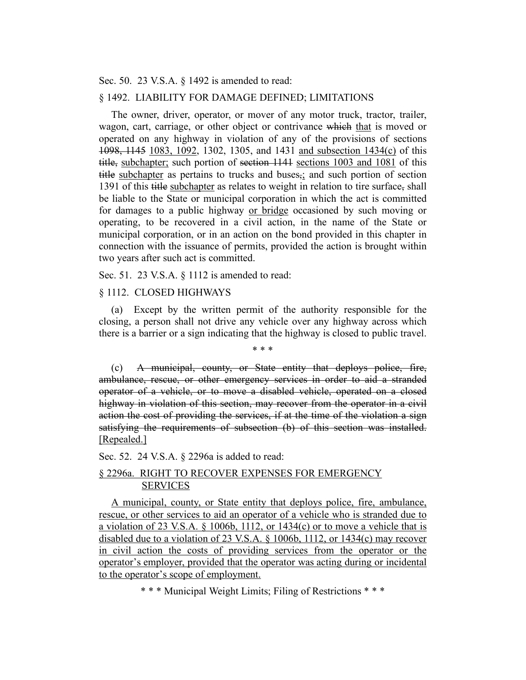Sec. 50. 23 V.S.A. § 1492 is amended to read:

#### § 1492. LIABILITY FOR DAMAGE DEFINED; LIMITATIONS

The owner, driver, operator, or mover of any motor truck, tractor, trailer, wagon, cart, carriage, or other object or contrivance which that is moved or operated on any highway in violation of any of the provisions of sections 1098, 1145 1083, 1092, 1302, 1305, and 1431 and subsection 1434(c) of this title, subchapter; such portion of section 1141 sections 1003 and 1081 of this title subchapter as pertains to trucks and buses<sub>7</sub>; and such portion of section 1391 of this title subchapter as relates to weight in relation to tire surface, shall be liable to the State or municipal corporation in which the act is committed for damages to a public highway or bridge occasioned by such moving or operating, to be recovered in a civil action, in the name of the State or municipal corporation, or in an action on the bond provided in this chapter in connection with the issuance of permits, provided the action is brought within two years after such act is committed.

Sec. 51. 23 V.S.A. § 1112 is amended to read:

### § 1112. CLOSED HIGHWAYS

(a) Except by the written permit of the authority responsible for the closing, a person shall not drive any vehicle over any highway across which there is a barrier or a sign indicating that the highway is closed to public travel.

\* \* \*

(c) A municipal, county, or State entity that deploys police, fire, ambulance, rescue, or other emergency services in order to aid a stranded operator of a vehicle, or to move a disabled vehicle, operated on a closed highway in violation of this section, may recover from the operator in a civil action the cost of providing the services, if at the time of the violation a sign satisfying the requirements of subsection (b) of this section was installed. [Repealed.]

Sec. 52. 24 V.S.A. § 2296a is added to read:

# § 2296a. RIGHT TO RECOVER EXPENSES FOR EMERGENCY **SERVICES**

A municipal, county, or State entity that deploys police, fire, ambulance, rescue, or other services to aid an operator of a vehicle who is stranded due to a violation of 23 V.S.A. § 1006b, 1112, or 1434 $(c)$  or to move a vehicle that is disabled due to a violation of 23 V.S.A. § 1006b, 1112, or 1434(c) may recover in civil action the costs of providing services from the operator or the operator's employer, provided that the operator was acting during or incidental to the operator's scope of employment.

\* \* \* Municipal Weight Limits; Filing of Restrictions \* \* \*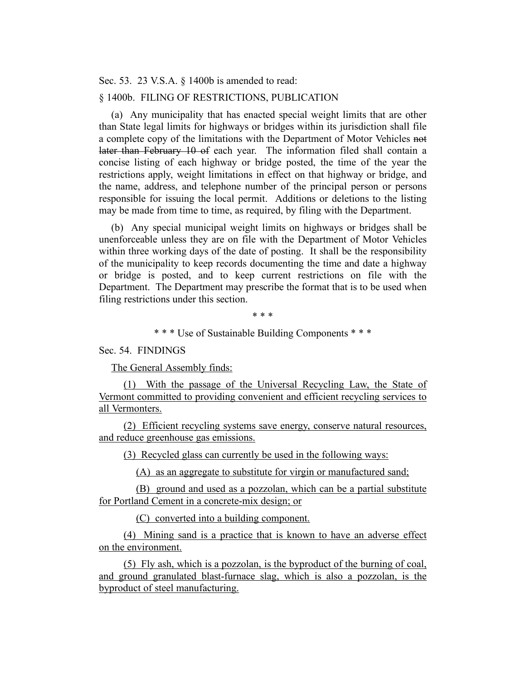Sec. 53. 23 V.S.A. § 1400b is amended to read:

### § 1400b. FILING OF RESTRICTIONS, PUBLICATION

(a) Any municipality that has enacted special weight limits that are other than State legal limits for highways or bridges within its jurisdiction shall file a complete copy of the limitations with the Department of Motor Vehicles not later than February 10 of each year. The information filed shall contain a concise listing of each highway or bridge posted, the time of the year the restrictions apply, weight limitations in effect on that highway or bridge, and the name, address, and telephone number of the principal person or persons responsible for issuing the local permit. Additions or deletions to the listing may be made from time to time, as required, by filing with the Department.

(b) Any special municipal weight limits on highways or bridges shall be unenforceable unless they are on file with the Department of Motor Vehicles within three working days of the date of posting. It shall be the responsibility of the municipality to keep records documenting the time and date a highway or bridge is posted, and to keep current restrictions on file with the Department. The Department may prescribe the format that is to be used when filing restrictions under this section.

\* \* \*

\* \* \* Use of Sustainable Building Components \* \* \*

Sec. 54. FINDINGS

The General Assembly finds:

(1) With the passage of the Universal Recycling Law, the State of Vermont committed to providing convenient and efficient recycling services to all Vermonters.

(2) Efficient recycling systems save energy, conserve natural resources, and reduce greenhouse gas emissions.

(3) Recycled glass can currently be used in the following ways:

(A) as an aggregate to substitute for virgin or manufactured sand;

(B) ground and used as a pozzolan, which can be a partial substitute for Portland Cement in a concrete-mix design; or

(C) converted into a building component.

(4) Mining sand is a practice that is known to have an adverse effect on the environment.

(5) Fly ash, which is a pozzolan, is the byproduct of the burning of coal, and ground granulated blast-furnace slag, which is also a pozzolan, is the byproduct of steel manufacturing.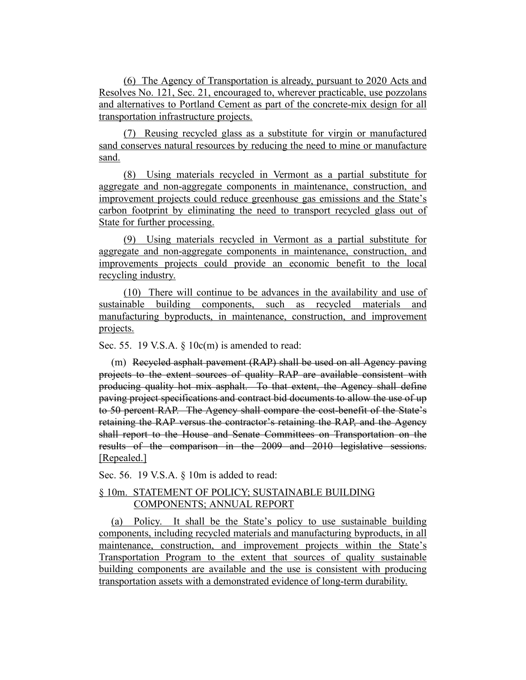(6) The Agency of Transportation is already, pursuant to 2020 Acts and Resolves No. 121, Sec. 21, encouraged to, wherever practicable, use pozzolans and alternatives to Portland Cement as part of the concrete-mix design for all transportation infrastructure projects.

(7) Reusing recycled glass as a substitute for virgin or manufactured sand conserves natural resources by reducing the need to mine or manufacture sand.

(8) Using materials recycled in Vermont as a partial substitute for aggregate and non-aggregate components in maintenance, construction, and improvement projects could reduce greenhouse gas emissions and the State's carbon footprint by eliminating the need to transport recycled glass out of State for further processing.

(9) Using materials recycled in Vermont as a partial substitute for aggregate and non-aggregate components in maintenance, construction, and improvements projects could provide an economic benefit to the local recycling industry.

(10) There will continue to be advances in the availability and use of sustainable building components, such as recycled materials and manufacturing byproducts, in maintenance, construction, and improvement projects.

Sec. 55. 19 V.S.A.  $\S$  10 $c(m)$  is amended to read:

(m) Recycled asphalt pavement (RAP) shall be used on all Agency paving projects to the extent sources of quality RAP are available consistent with producing quality hot mix asphalt. To that extent, the Agency shall define paving project specifications and contract bid documents to allow the use of up to 50 percent RAP. The Agency shall compare the cost-benefit of the State's retaining the RAP versus the contractor's retaining the RAP, and the Agency shall report to the House and Senate Committees on Transportation on the results of the comparison in the 2009 and 2010 legislative sessions. [Repealed.]

Sec. 56. 19 V.S.A. § 10m is added to read:

# § 10m. STATEMENT OF POLICY; SUSTAINABLE BUILDING COMPONENTS; ANNUAL REPORT

(a) Policy. It shall be the State's policy to use sustainable building components, including recycled materials and manufacturing byproducts, in all maintenance, construction, and improvement projects within the State's Transportation Program to the extent that sources of quality sustainable building components are available and the use is consistent with producing transportation assets with a demonstrated evidence of long-term durability.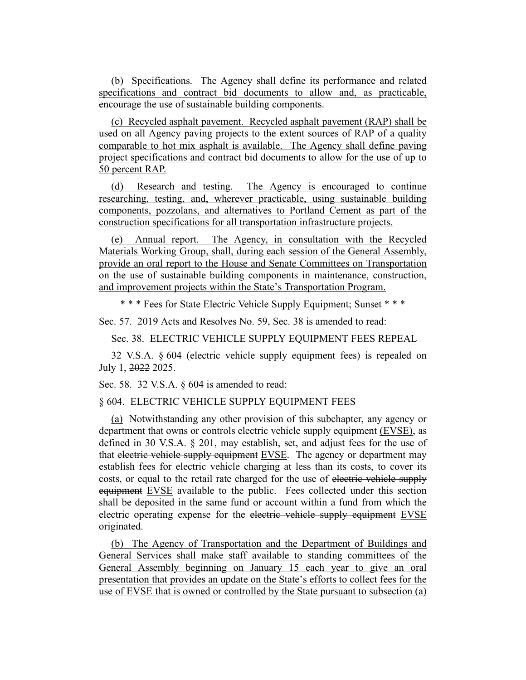(b) Specifications. The Agency shall define its performance and related specifications and contract bid documents to allow and, as practicable, encourage the use of sustainable building components.

(c) Recycled asphalt pavement. Recycled asphalt pavement (RAP) shall be used on all Agency paving projects to the extent sources of RAP of a quality comparable to hot mix asphalt is available. The Agency shall define paving project specifications and contract bid documents to allow for the use of up to 50 percent RAP.

(d) Research and testing. The Agency is encouraged to continue researching, testing, and, wherever practicable, using sustainable building components, pozzolans, and alternatives to Portland Cement as part of the construction specifications for all transportation infrastructure projects.

(e) Annual report. The Agency, in consultation with the Recycled Materials Working Group, shall, during each session of the General Assembly, provide an oral report to the House and Senate Committees on Transportation on the use of sustainable building components in maintenance, construction, and improvement projects within the State's Transportation Program.

\* \* \* Fees for State Electric Vehicle Supply Equipment; Sunset \* \* \*

Sec. 57. 2019 Acts and Resolves No. 59, Sec. 38 is amended to read:

Sec. 38. ELECTRIC VEHICLE SUPPLY EQUIPMENT FEES REPEAL

32 V.S.A. § 604 (electric vehicle supply equipment fees) is repealed on July 1, 2022 2025.

Sec. 58. 32 V.S.A. § 604 is amended to read:

§ 604. ELECTRIC VEHICLE SUPPLY EQUIPMENT FEES

(a) Notwithstanding any other provision of this subchapter, any agency or department that owns or controls electric vehicle supply equipment (EVSE), as defined in 30 V.S.A. § 201, may establish, set, and adjust fees for the use of that electric vehicle supply equipment EVSE. The agency or department may establish fees for electric vehicle charging at less than its costs, to cover its costs, or equal to the retail rate charged for the use of electric vehicle supply equipment EVSE available to the public. Fees collected under this section shall be deposited in the same fund or account within a fund from which the electric operating expense for the electric vehicle supply equipment EVSE originated.

(b) The Agency of Transportation and the Department of Buildings and General Services shall make staff available to standing committees of the General Assembly beginning on January 15 each year to give an oral presentation that provides an update on the State's efforts to collect fees for the use of EVSE that is owned or controlled by the State pursuant to subsection (a)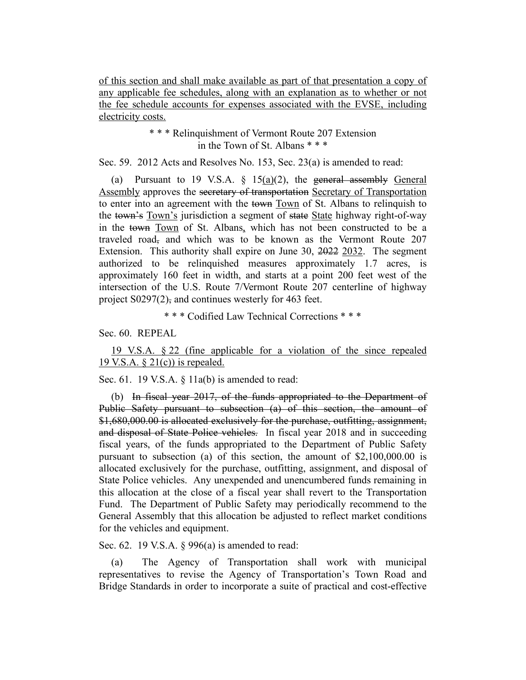of this section and shall make available as part of that presentation a copy of any applicable fee schedules, along with an explanation as to whether or not the fee schedule accounts for expenses associated with the EVSE, including electricity costs.

> \* \* \* Relinquishment of Vermont Route 207 Extension in the Town of St. Albans \* \* \*

Sec. 59. 2012 Acts and Resolves No. 153, Sec. 23(a) is amended to read:

(a) Pursuant to 19 V.S.A.  $\S$  15(a)(2), the general assembly General Assembly approves the secretary of transportation Secretary of Transportation to enter into an agreement with the town Town of St. Albans to relinquish to the town's Town's jurisdiction a segment of state State highway right-of-way in the town Town of St. Albans, which has not been constructed to be a traveled road, and which was to be known as the Vermont Route 207 Extension. This authority shall expire on June 30, 2022 2032. The segment authorized to be relinquished measures approximately 1.7 acres, is approximately 160 feet in width, and starts at a point 200 feet west of the intersection of the U.S. Route 7/Vermont Route 207 centerline of highway project S0297(2), and continues westerly for 463 feet.

\* \* \* Codified Law Technical Corrections \* \* \*

Sec. 60. REPEAL

19 V.S.A. § 22 (fine applicable for a violation of the since repealed 19 V.S.A.  $\S 21(c)$  is repealed.

Sec. 61. 19 V.S.A. § 11a(b) is amended to read:

(b) In fiscal year 2017, of the funds appropriated to the Department of Public Safety pursuant to subsection (a) of this section, the amount of \$1,680,000.00 is allocated exclusively for the purchase, outfitting, assignment, and disposal of State Police vehicles. In fiscal year 2018 and in succeeding fiscal years, of the funds appropriated to the Department of Public Safety pursuant to subsection (a) of this section, the amount of \$2,100,000.00 is allocated exclusively for the purchase, outfitting, assignment, and disposal of State Police vehicles. Any unexpended and unencumbered funds remaining in this allocation at the close of a fiscal year shall revert to the Transportation Fund. The Department of Public Safety may periodically recommend to the General Assembly that this allocation be adjusted to reflect market conditions for the vehicles and equipment.

Sec. 62. 19 V.S.A. § 996(a) is amended to read:

(a) The Agency of Transportation shall work with municipal representatives to revise the Agency of Transportation's Town Road and Bridge Standards in order to incorporate a suite of practical and cost-effective